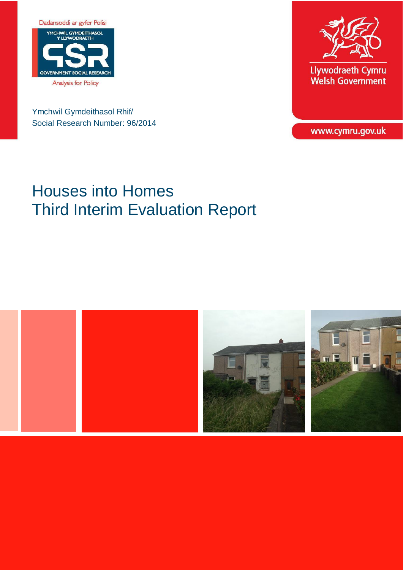

Ymchwil Gymdeithasol Rhif/ Social Research Number: 96/2014



Llywodraeth Cymru **Welsh Government** 

www.cymru.gov.uk

# Houses into Homes Third Interim Evaluation Report

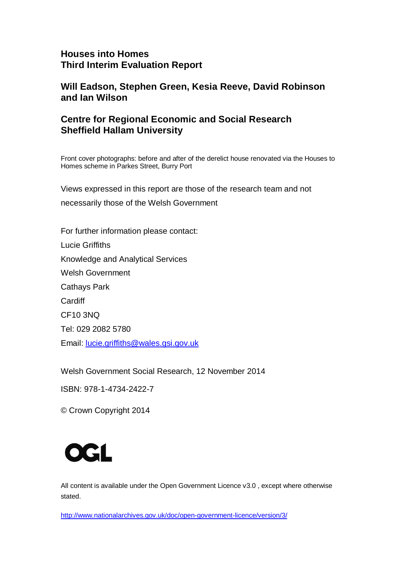# **Houses into Homes Third Interim Evaluation Report**

# **Will Eadson, Stephen Green, Kesia Reeve, David Robinson and Ian Wilson**

# **Centre for Regional Economic and Social Research Sheffield Hallam University**

Front cover photographs: before and after of the derelict house renovated via the Houses to Homes scheme in Parkes Street, Burry Port

Views expressed in this report are those of the research team and not necessarily those of the Welsh Government

For further information please contact: Lucie Griffiths Knowledge and Analytical Services Welsh Government Cathays Park **Cardiff** CF10 3NQ Tel: 029 2082 5780 Email: [lucie.griffiths@wales.gsi.gov.uk](mailto:lucie.griffiths@wales.gsi.gov.uk)

Welsh Government Social Research, 12 November 2014

ISBN: 978-1-4734-2422-7

© Crown Copyright 2014



All content is available under the Open Government Licence v3.0 , except where otherwise stated.

<http://www.nationalarchives.gov.uk/doc/open-government-licence/version/3/>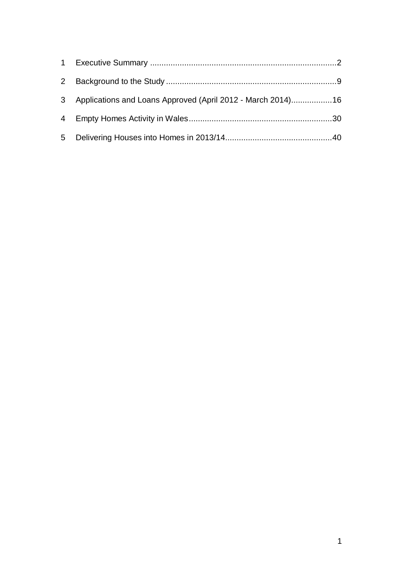|                | 3 Applications and Loans Approved (April 2012 - March 2014)16 |  |
|----------------|---------------------------------------------------------------|--|
|                |                                                               |  |
| 5 <sup>1</sup> |                                                               |  |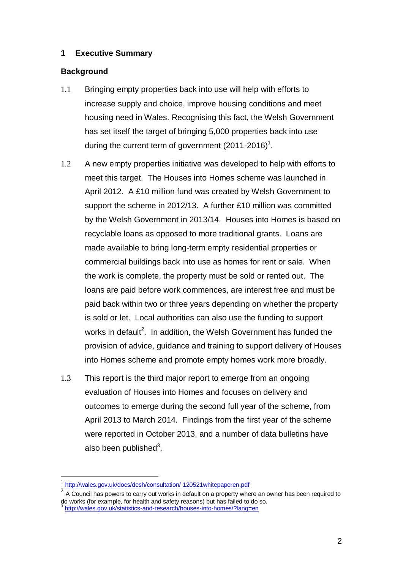## <span id="page-3-0"></span>**1 Executive Summary**

## **Background**

- 1.1 Bringing empty properties back into use will help with efforts to increase supply and choice, improve housing conditions and meet housing need in Wales. Recognising this fact, the Welsh Government has set itself the target of bringing 5,000 properties back into use during the current term of government (2011-2016)<sup>1</sup>.
- 1.2 A new empty properties initiative was developed to help with efforts to meet this target. The Houses into Homes scheme was launched in April 2012. A £10 million fund was created by Welsh Government to support the scheme in 2012/13. A further £10 million was committed by the Welsh Government in 2013/14. Houses into Homes is based on recyclable loans as opposed to more traditional grants. Loans are made available to bring long-term empty residential properties or commercial buildings back into use as homes for rent or sale. When the work is complete, the property must be sold or rented out. The loans are paid before work commences, are interest free and must be paid back within two or three years depending on whether the property is sold or let. Local authorities can also use the funding to support works in default<sup>2</sup>. In addition, the Welsh Government has funded the provision of advice, guidance and training to support delivery of Houses into Homes scheme and promote empty homes work more broadly.
- 1.3 This report is the third major report to emerge from an ongoing evaluation of Houses into Homes and focuses on delivery and outcomes to emerge during the second full year of the scheme, from April 2013 to March 2014. Findings from the first year of the scheme were reported in October 2013, and a number of data bulletins have also been published $^3$ .

 $\overline{a}$ 

<sup>1</sup> [http://wales.gov.uk/docs/desh/consultation/ 120521whitepaperen.pdf](http://wales.gov.uk/docs/desh/consultation/%20120521whitepaperen.pdf)

 $2\overline{A}$  Council has powers to carry out works in default on a property where an owner has been required to do works (for example, for health and safety reasons) but has failed to do so.<br>3 http://welge.gov.uk/ototiaties.org/ research/bouses.inte.hemog/2leps.es

<http://wales.gov.uk/statistics-and-research/houses-into-homes/?lang=en>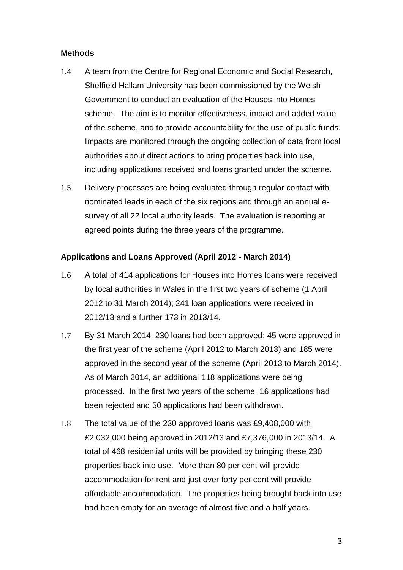## **Methods**

- 1.4 A team from the Centre for Regional Economic and Social Research, Sheffield Hallam University has been commissioned by the Welsh Government to conduct an evaluation of the Houses into Homes scheme. The aim is to monitor effectiveness, impact and added value of the scheme, and to provide accountability for the use of public funds. Impacts are monitored through the ongoing collection of data from local authorities about direct actions to bring properties back into use, including applications received and loans granted under the scheme.
- 1.5 Delivery processes are being evaluated through regular contact with nominated leads in each of the six regions and through an annual esurvey of all 22 local authority leads. The evaluation is reporting at agreed points during the three years of the programme.

## **Applications and Loans Approved (April 2012 - March 2014)**

- 1.6 A total of 414 applications for Houses into Homes loans were received by local authorities in Wales in the first two years of scheme (1 April 2012 to 31 March 2014); 241 loan applications were received in 2012/13 and a further 173 in 2013/14.
- 1.7 By 31 March 2014, 230 loans had been approved; 45 were approved in the first year of the scheme (April 2012 to March 2013) and 185 were approved in the second year of the scheme (April 2013 to March 2014). As of March 2014, an additional 118 applications were being processed. In the first two years of the scheme, 16 applications had been rejected and 50 applications had been withdrawn.
- 1.8 The total value of the 230 approved loans was £9,408,000 with £2,032,000 being approved in 2012/13 and £7,376,000 in 2013/14. A total of 468 residential units will be provided by bringing these 230 properties back into use. More than 80 per cent will provide accommodation for rent and just over forty per cent will provide affordable accommodation. The properties being brought back into use had been empty for an average of almost five and a half years.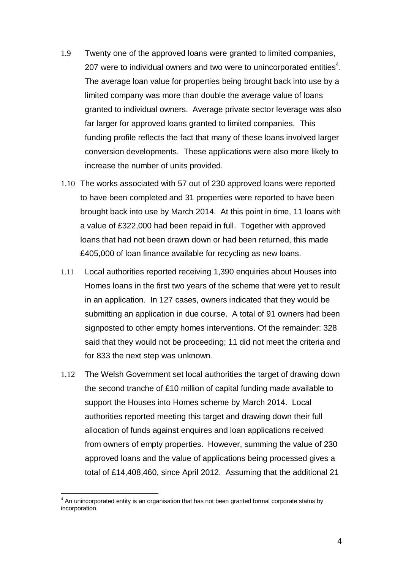- 1.9 Twenty one of the approved loans were granted to limited companies, 207 were to individual owners and two were to unincorporated entities<sup>4</sup>. The average loan value for properties being brought back into use by a limited company was more than double the average value of loans granted to individual owners. Average private sector leverage was also far larger for approved loans granted to limited companies. This funding profile reflects the fact that many of these loans involved larger conversion developments. These applications were also more likely to increase the number of units provided.
- 1.10 The works associated with 57 out of 230 approved loans were reported to have been completed and 31 properties were reported to have been brought back into use by March 2014. At this point in time, 11 loans with a value of £322,000 had been repaid in full. Together with approved loans that had not been drawn down or had been returned, this made £405,000 of loan finance available for recycling as new loans.
- 1.11 Local authorities reported receiving 1,390 enquiries about Houses into Homes loans in the first two years of the scheme that were yet to result in an application. In 127 cases, owners indicated that they would be submitting an application in due course. A total of 91 owners had been signposted to other empty homes interventions. Of the remainder: 328 said that they would not be proceeding; 11 did not meet the criteria and for 833 the next step was unknown.
- 1.12 The Welsh Government set local authorities the target of drawing down the second tranche of £10 million of capital funding made available to support the Houses into Homes scheme by March 2014. Local authorities reported meeting this target and drawing down their full allocation of funds against enquires and loan applications received from owners of empty properties. However, summing the value of 230 approved loans and the value of applications being processed gives a total of £14,408,460, since April 2012. Assuming that the additional 21

 $\overline{a}$ 

 $<sup>4</sup>$  An unincorporated entity is an organisation that has not been granted formal corporate status by</sup> incorporation.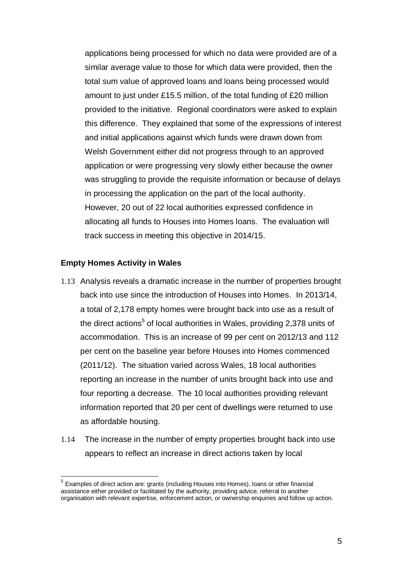applications being processed for which no data were provided are of a similar average value to those for which data were provided, then the total sum value of approved loans and loans being processed would amount to just under £15.5 million, of the total funding of £20 million provided to the initiative. Regional coordinators were asked to explain this difference. They explained that some of the expressions of interest and initial applications against which funds were drawn down from Welsh Government either did not progress through to an approved application or were progressing very slowly either because the owner was struggling to provide the requisite information or because of delays in processing the application on the part of the local authority. However, 20 out of 22 local authorities expressed confidence in allocating all funds to Houses into Homes loans. The evaluation will track success in meeting this objective in 2014/15.

## **Empty Homes Activity in Wales**

- 1.13 Analysis reveals a dramatic increase in the number of properties brought back into use since the introduction of Houses into Homes. In 2013/14, a total of 2,178 empty homes were brought back into use as a result of the direct actions<sup>5</sup> of local authorities in Wales, providing 2,378 units of accommodation. This is an increase of 99 per cent on 2012/13 and 112 per cent on the baseline year before Houses into Homes commenced (2011/12). The situation varied across Wales, 18 local authorities reporting an increase in the number of units brought back into use and four reporting a decrease. The 10 local authorities providing relevant information reported that 20 per cent of dwellings were returned to use as affordable housing.
- 1.14 The increase in the number of empty properties brought back into use appears to reflect an increase in direct actions taken by local

 5 Examples of direct action are: grants (including Houses into Homes), loans or other financial assistance either provided or facilitated by the authority, providing advice, referral to another organisation with relevant expertise, enforcement action, or ownership enquiries and follow up action.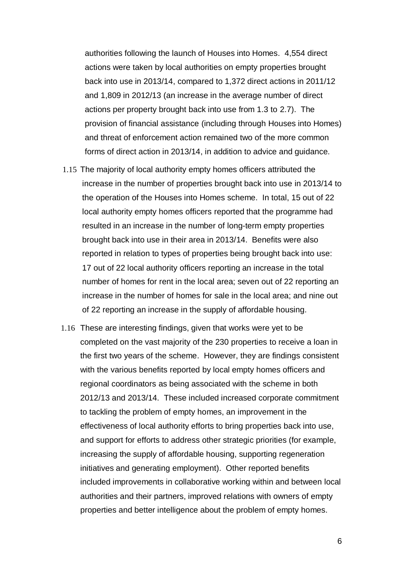authorities following the launch of Houses into Homes. 4,554 direct actions were taken by local authorities on empty properties brought back into use in 2013/14, compared to 1,372 direct actions in 2011/12 and 1,809 in 2012/13 (an increase in the average number of direct actions per property brought back into use from 1.3 to 2.7). The provision of financial assistance (including through Houses into Homes) and threat of enforcement action remained two of the more common forms of direct action in 2013/14, in addition to advice and guidance.

- 1.15 The majority of local authority empty homes officers attributed the increase in the number of properties brought back into use in 2013/14 to the operation of the Houses into Homes scheme. In total, 15 out of 22 local authority empty homes officers reported that the programme had resulted in an increase in the number of long-term empty properties brought back into use in their area in 2013/14. Benefits were also reported in relation to types of properties being brought back into use: 17 out of 22 local authority officers reporting an increase in the total number of homes for rent in the local area; seven out of 22 reporting an increase in the number of homes for sale in the local area; and nine out of 22 reporting an increase in the supply of affordable housing.
- 1.16 These are interesting findings, given that works were yet to be completed on the vast majority of the 230 properties to receive a loan in the first two years of the scheme. However, they are findings consistent with the various benefits reported by local empty homes officers and regional coordinators as being associated with the scheme in both 2012/13 and 2013/14. These included increased corporate commitment to tackling the problem of empty homes, an improvement in the effectiveness of local authority efforts to bring properties back into use, and support for efforts to address other strategic priorities (for example, increasing the supply of affordable housing, supporting regeneration initiatives and generating employment). Other reported benefits included improvements in collaborative working within and between local authorities and their partners, improved relations with owners of empty properties and better intelligence about the problem of empty homes.

6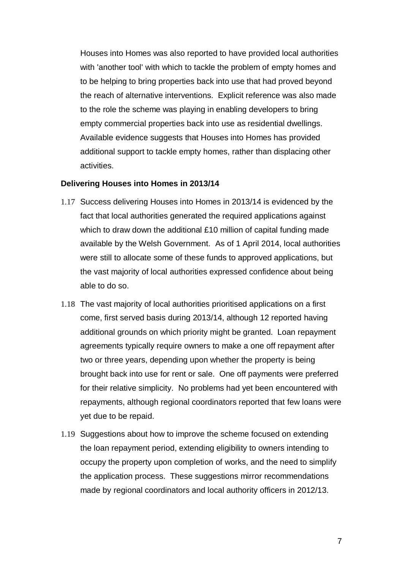Houses into Homes was also reported to have provided local authorities with 'another tool' with which to tackle the problem of empty homes and to be helping to bring properties back into use that had proved beyond the reach of alternative interventions. Explicit reference was also made to the role the scheme was playing in enabling developers to bring empty commercial properties back into use as residential dwellings. Available evidence suggests that Houses into Homes has provided additional support to tackle empty homes, rather than displacing other activities.

#### **Delivering Houses into Homes in 2013/14**

- 1.17 Success delivering Houses into Homes in 2013/14 is evidenced by the fact that local authorities generated the required applications against which to draw down the additional £10 million of capital funding made available by the Welsh Government. As of 1 April 2014, local authorities were still to allocate some of these funds to approved applications, but the vast majority of local authorities expressed confidence about being able to do so.
- 1.18 The vast majority of local authorities prioritised applications on a first come, first served basis during 2013/14, although 12 reported having additional grounds on which priority might be granted. Loan repayment agreements typically require owners to make a one off repayment after two or three years, depending upon whether the property is being brought back into use for rent or sale. One off payments were preferred for their relative simplicity. No problems had yet been encountered with repayments, although regional coordinators reported that few loans were yet due to be repaid.
- 1.19 Suggestions about how to improve the scheme focused on extending the loan repayment period, extending eligibility to owners intending to occupy the property upon completion of works, and the need to simplify the application process. These suggestions mirror recommendations made by regional coordinators and local authority officers in 2012/13.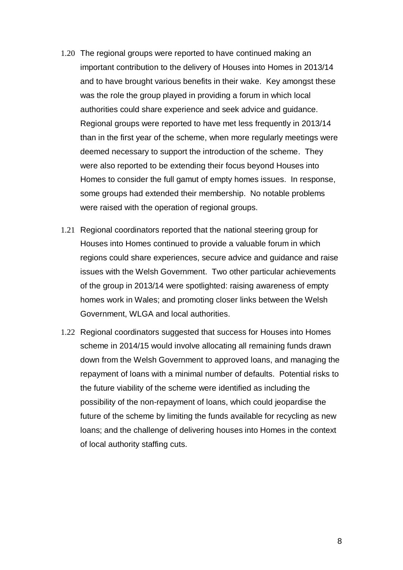- 1.20 The regional groups were reported to have continued making an important contribution to the delivery of Houses into Homes in 2013/14 and to have brought various benefits in their wake. Key amongst these was the role the group played in providing a forum in which local authorities could share experience and seek advice and guidance. Regional groups were reported to have met less frequently in 2013/14 than in the first year of the scheme, when more regularly meetings were deemed necessary to support the introduction of the scheme. They were also reported to be extending their focus beyond Houses into Homes to consider the full gamut of empty homes issues. In response, some groups had extended their membership. No notable problems were raised with the operation of regional groups.
- 1.21 Regional coordinators reported that the national steering group for Houses into Homes continued to provide a valuable forum in which regions could share experiences, secure advice and guidance and raise issues with the Welsh Government. Two other particular achievements of the group in 2013/14 were spotlighted: raising awareness of empty homes work in Wales; and promoting closer links between the Welsh Government, WLGA and local authorities.
- 1.22 Regional coordinators suggested that success for Houses into Homes scheme in 2014/15 would involve allocating all remaining funds drawn down from the Welsh Government to approved loans, and managing the repayment of loans with a minimal number of defaults. Potential risks to the future viability of the scheme were identified as including the possibility of the non-repayment of loans, which could jeopardise the future of the scheme by limiting the funds available for recycling as new loans; and the challenge of delivering houses into Homes in the context of local authority staffing cuts.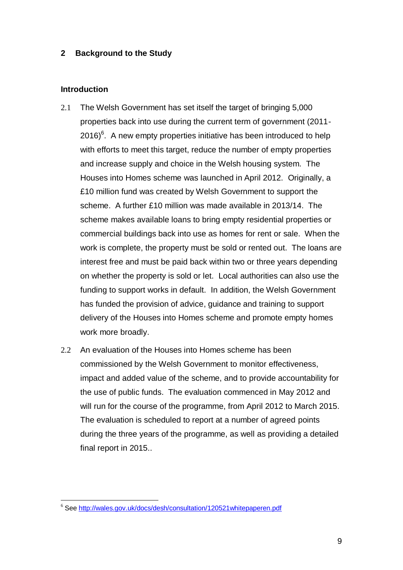## <span id="page-10-0"></span>**2 Background to the Study**

## **Introduction**

- 2.1 The Welsh Government has set itself the target of bringing 5,000 properties back into use during the current term of government (2011-  $2016$ <sup>6</sup>. A new empty properties initiative has been introduced to help with efforts to meet this target, reduce the number of empty properties and increase supply and choice in the Welsh housing system. The Houses into Homes scheme was launched in April 2012. Originally, a £10 million fund was created by Welsh Government to support the scheme. A further £10 million was made available in 2013/14. The scheme makes available loans to bring empty residential properties or commercial buildings back into use as homes for rent or sale. When the work is complete, the property must be sold or rented out. The loans are interest free and must be paid back within two or three years depending on whether the property is sold or let. Local authorities can also use the funding to support works in default. In addition, the Welsh Government has funded the provision of advice, guidance and training to support delivery of the Houses into Homes scheme and promote empty homes work more broadly.
- 2.2 An evaluation of the Houses into Homes scheme has been commissioned by the Welsh Government to monitor effectiveness, impact and added value of the scheme, and to provide accountability for the use of public funds. The evaluation commenced in May 2012 and will run for the course of the programme, from April 2012 to March 2015. The evaluation is scheduled to report at a number of agreed points during the three years of the programme, as well as providing a detailed final report in 2015..

 $\overline{a}$ <sup>6</sup> See<http://wales.gov.uk/docs/desh/consultation/120521whitepaperen.pdf>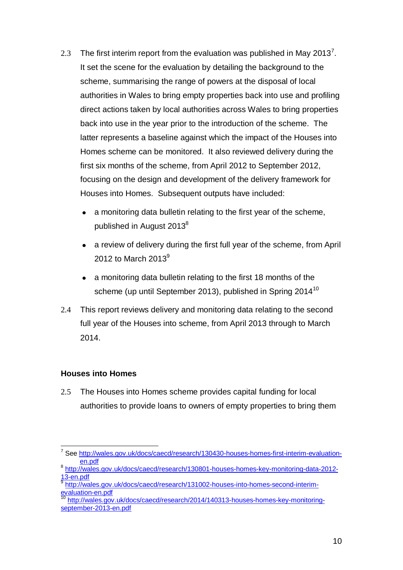- 2.3 The first interim report from the evaluation was published in May 2013<sup>7</sup>. It set the scene for the evaluation by detailing the background to the scheme, summarising the range of powers at the disposal of local authorities in Wales to bring empty properties back into use and profiling direct actions taken by local authorities across Wales to bring properties back into use in the year prior to the introduction of the scheme. The latter represents a baseline against which the impact of the Houses into Homes scheme can be monitored. It also reviewed delivery during the first six months of the scheme, from April 2012 to September 2012, focusing on the design and development of the delivery framework for Houses into Homes. Subsequent outputs have included:
	- a monitoring data bulletin relating to the first year of the scheme, published in August 2013<sup>8</sup>
	- a review of delivery during the first full year of the scheme, from April 2012 to March 2013 $9$
	- a monitoring data bulletin relating to the first 18 months of the scheme (up until September 2013), published in Spring 2014<sup>10</sup>
- 2.4 This report reviews delivery and monitoring data relating to the second full year of the Houses into scheme, from April 2013 through to March 2014.

# **Houses into Homes**

2.5 The Houses into Homes scheme provides capital funding for local authorities to provide loans to owners of empty properties to bring them

 $\overline{a}$ <sup>7</sup> See [http://wales.gov.uk/docs/caecd/research/130430-houses-homes-first-interim-evaluation](http://wales.gov.uk/docs/caecd/research/130430-houses-homes-first-interim-evaluation-en.pdf)[en.pdf](http://wales.gov.uk/docs/caecd/research/130430-houses-homes-first-interim-evaluation-en.pdf)

<sup>8</sup> [http://wales.gov.uk/docs/caecd/research/130801-houses-homes-key-monitoring-data-2012-](http://wales.gov.uk/docs/caecd/research/130801-houses-homes-key-monitoring-data-2012-13-en.pdf) [13-en.pdf](http://wales.gov.uk/docs/caecd/research/130801-houses-homes-key-monitoring-data-2012-13-en.pdf)

<sup>9</sup> [http://wales.gov.uk/docs/caecd/research/131002-houses-into-homes-second-interim](http://wales.gov.uk/docs/caecd/research/131002-houses-into-homes-second-interim-evaluation-en.pdf)[evaluation-en.pdf](http://wales.gov.uk/docs/caecd/research/131002-houses-into-homes-second-interim-evaluation-en.pdf)

[http://wales.gov.uk/docs/caecd/research/2014/140313-houses-homes-key-monitoring](http://wales.gov.uk/docs/caecd/research/2014/140313-houses-homes-key-monitoring-september-2013-en.pdf)[september-2013-en.pdf](http://wales.gov.uk/docs/caecd/research/2014/140313-houses-homes-key-monitoring-september-2013-en.pdf)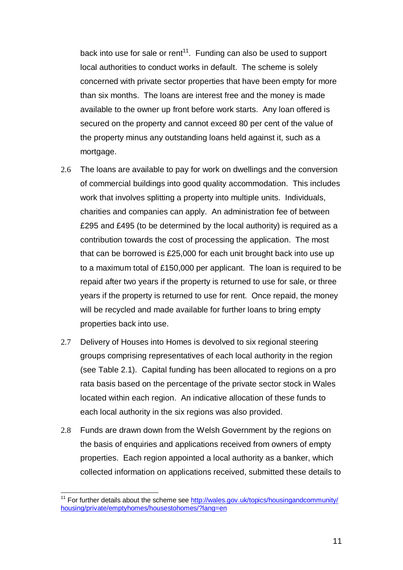back into use for sale or rent<sup>11</sup>. Funding can also be used to support local authorities to conduct works in default. The scheme is solely concerned with private sector properties that have been empty for more than six months. The loans are interest free and the money is made available to the owner up front before work starts. Any loan offered is secured on the property and cannot exceed 80 per cent of the value of the property minus any outstanding loans held against it, such as a mortgage.

- 2.6 The loans are available to pay for work on dwellings and the conversion of commercial buildings into good quality accommodation. This includes work that involves splitting a property into multiple units. Individuals, charities and companies can apply. An administration fee of between £295 and £495 (to be determined by the local authority) is required as a contribution towards the cost of processing the application. The most that can be borrowed is £25,000 for each unit brought back into use up to a maximum total of £150,000 per applicant. The loan is required to be repaid after two years if the property is returned to use for sale, or three years if the property is returned to use for rent. Once repaid, the money will be recycled and made available for further loans to bring empty properties back into use.
- 2.7 Delivery of Houses into Homes is devolved to six regional steering groups comprising representatives of each local authority in the region (see Table 2.1). Capital funding has been allocated to regions on a pro rata basis based on the percentage of the private sector stock in Wales located within each region. An indicative allocation of these funds to each local authority in the six regions was also provided.
- 2.8 Funds are drawn down from the Welsh Government by the regions on the basis of enquiries and applications received from owners of empty properties. Each region appointed a local authority as a banker, which collected information on applications received, submitted these details to

 $\overline{a}$ 

 $11$  For further details about the scheme see http://wales.gov.uk/topics/housingandcommunity/ [housing/private/emptyhomes/housestohomes/?lang=en](http://wales.gov.uk/topics/housingandcommunity/%20housing/private/emptyhomes/housestohomes/?lang=en)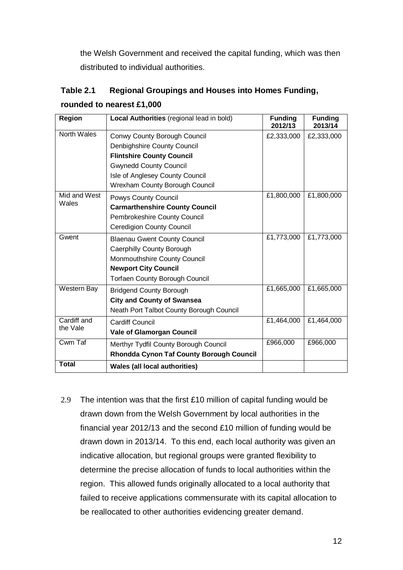the Welsh Government and received the capital funding, which was then distributed to individual authorities.

| Table 2.1 | <b>Regional Groupings and Houses into Homes Funding,</b> |
|-----------|----------------------------------------------------------|
|           | rounded to nearest £1,000                                |

| <b>Region</b> | Local Authorities (regional lead in bold) | <b>Funding</b><br>2012/13 | <b>Funding</b><br>2013/14 |
|---------------|-------------------------------------------|---------------------------|---------------------------|
| North Wales   | Conwy County Borough Council              | £2,333,000                | £2,333,000                |
|               | Denbighshire County Council               |                           |                           |
|               | <b>Flintshire County Council</b>          |                           |                           |
|               | <b>Gwynedd County Council</b>             |                           |                           |
|               | Isle of Anglesey County Council           |                           |                           |
|               | <b>Wrexham County Borough Council</b>     |                           |                           |
| Mid and West  | <b>Powys County Council</b>               | £1,800,000                | £1,800,000                |
| Wales         | <b>Carmarthenshire County Council</b>     |                           |                           |
|               | Pembrokeshire County Council              |                           |                           |
|               | <b>Ceredigion County Council</b>          |                           |                           |
| Gwent         | <b>Blaenau Gwent County Council</b>       | £1,773,000                | £1,773,000                |
|               | Caerphilly County Borough                 |                           |                           |
|               | Monmouthshire County Council              |                           |                           |
|               | <b>Newport City Council</b>               |                           |                           |
|               | <b>Torfaen County Borough Council</b>     |                           |                           |
| Western Bay   | <b>Bridgend County Borough</b>            | £1,665,000                | £1,665,000                |
|               | <b>City and County of Swansea</b>         |                           |                           |
|               | Neath Port Talbot County Borough Council  |                           |                           |
| Cardiff and   | <b>Cardiff Council</b>                    | £1,464,000                | £1,464,000                |
| the Vale      | <b>Vale of Glamorgan Council</b>          |                           |                           |
| Cwm Taf       | Merthyr Tydfil County Borough Council     | £966,000                  | £966,000                  |
|               | Rhondda Cynon Taf County Borough Council  |                           |                           |
| <b>Total</b>  | <b>Wales (all local authorities)</b>      |                           |                           |

2.9 The intention was that the first  $£10$  million of capital funding would be drawn down from the Welsh Government by local authorities in the financial year 2012/13 and the second £10 million of funding would be drawn down in 2013/14. To this end, each local authority was given an indicative allocation, but regional groups were granted flexibility to determine the precise allocation of funds to local authorities within the region. This allowed funds originally allocated to a local authority that failed to receive applications commensurate with its capital allocation to be reallocated to other authorities evidencing greater demand.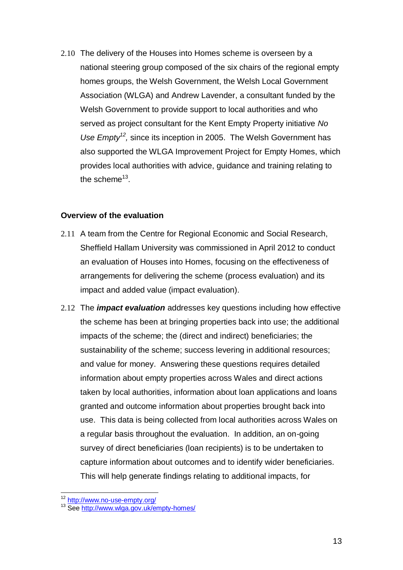2.10 The delivery of the Houses into Homes scheme is overseen by a national steering group composed of the six chairs of the regional empty homes groups, the Welsh Government, the Welsh Local Government Association (WLGA) and Andrew Lavender, a consultant funded by the Welsh Government to provide support to local authorities and who served as project consultant for the Kent Empty Property initiative *No*  Use Empty<sup>12</sup>, since its inception in 2005. The Welsh Government has also supported the WLGA Improvement Project for Empty Homes, which provides local authorities with advice, guidance and training relating to the scheme $^{13}$ .

## **Overview of the evaluation**

- 2.11 A team from the Centre for Regional Economic and Social Research, Sheffield Hallam University was commissioned in April 2012 to conduct an evaluation of Houses into Homes, focusing on the effectiveness of arrangements for delivering the scheme (process evaluation) and its impact and added value (impact evaluation).
- 2.12 The *impact evaluation* addresses key questions including how effective the scheme has been at bringing properties back into use; the additional impacts of the scheme; the (direct and indirect) beneficiaries; the sustainability of the scheme; success levering in additional resources; and value for money. Answering these questions requires detailed information about empty properties across Wales and direct actions taken by local authorities, information about loan applications and loans granted and outcome information about properties brought back into use. This data is being collected from local authorities across Wales on a regular basis throughout the evaluation. In addition, an on-going survey of direct beneficiaries (loan recipients) is to be undertaken to capture information about outcomes and to identify wider beneficiaries. This will help generate findings relating to additional impacts, for

 $\overline{a}$ <sup>12</sup> <http://www.no-use-empty.org/>

<sup>13</sup> See<http://www.wlga.gov.uk/empty-homes/>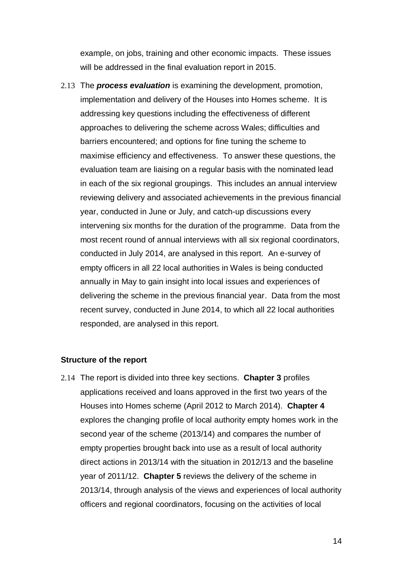example, on jobs, training and other economic impacts. These issues will be addressed in the final evaluation report in 2015.

2.13 The *process evaluation* is examining the development, promotion, implementation and delivery of the Houses into Homes scheme. It is addressing key questions including the effectiveness of different approaches to delivering the scheme across Wales; difficulties and barriers encountered; and options for fine tuning the scheme to maximise efficiency and effectiveness. To answer these questions, the evaluation team are liaising on a regular basis with the nominated lead in each of the six regional groupings. This includes an annual interview reviewing delivery and associated achievements in the previous financial year, conducted in June or July, and catch-up discussions every intervening six months for the duration of the programme. Data from the most recent round of annual interviews with all six regional coordinators, conducted in July 2014, are analysed in this report. An e-survey of empty officers in all 22 local authorities in Wales is being conducted annually in May to gain insight into local issues and experiences of delivering the scheme in the previous financial year. Data from the most recent survey, conducted in June 2014, to which all 22 local authorities responded, are analysed in this report.

#### **Structure of the report**

2.14 The report is divided into three key sections. **Chapter 3** profiles applications received and loans approved in the first two years of the Houses into Homes scheme (April 2012 to March 2014). **Chapter 4** explores the changing profile of local authority empty homes work in the second year of the scheme (2013/14) and compares the number of empty properties brought back into use as a result of local authority direct actions in 2013/14 with the situation in 2012/13 and the baseline year of 2011/12. **Chapter 5** reviews the delivery of the scheme in 2013/14, through analysis of the views and experiences of local authority officers and regional coordinators, focusing on the activities of local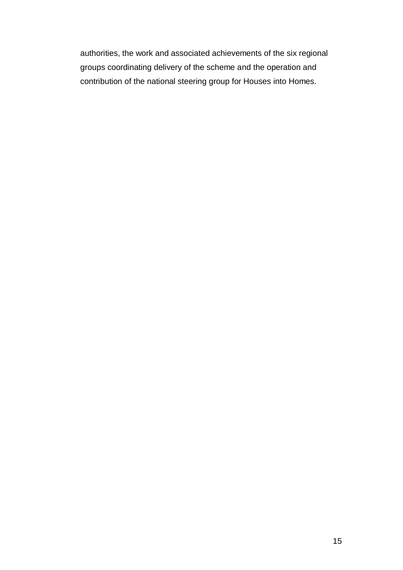authorities, the work and associated achievements of the six regional groups coordinating delivery of the scheme and the operation and contribution of the national steering group for Houses into Homes.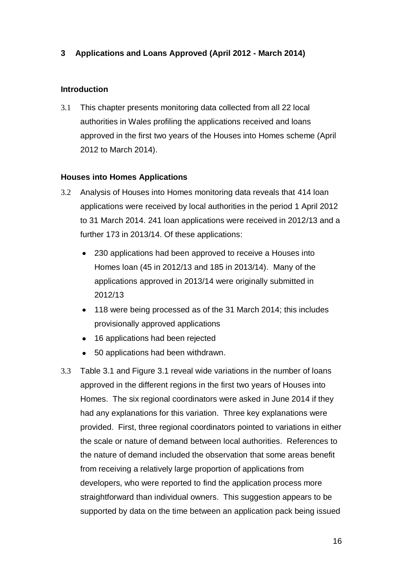# <span id="page-17-0"></span>**3 Applications and Loans Approved (April 2012 - March 2014)**

# **Introduction**

3.1 This chapter presents monitoring data collected from all 22 local authorities in Wales profiling the applications received and loans approved in the first two years of the Houses into Homes scheme (April 2012 to March 2014).

## **Houses into Homes Applications**

- 3.2 Analysis of Houses into Homes monitoring data reveals that 414 loan applications were received by local authorities in the period 1 April 2012 to 31 March 2014. 241 loan applications were received in 2012/13 and a further 173 in 2013/14. Of these applications:
	- 230 applications had been approved to receive a Houses into Homes loan (45 in 2012/13 and 185 in 2013/14). Many of the applications approved in 2013/14 were originally submitted in 2012/13
	- 118 were being processed as of the 31 March 2014; this includes provisionally approved applications
	- 16 applications had been rejected
	- 50 applications had been withdrawn.
- 3.3 Table 3.1 and Figure 3.1 reveal wide variations in the number of loans approved in the different regions in the first two years of Houses into Homes. The six regional coordinators were asked in June 2014 if they had any explanations for this variation. Three key explanations were provided. First, three regional coordinators pointed to variations in either the scale or nature of demand between local authorities. References to the nature of demand included the observation that some areas benefit from receiving a relatively large proportion of applications from developers, who were reported to find the application process more straightforward than individual owners. This suggestion appears to be supported by data on the time between an application pack being issued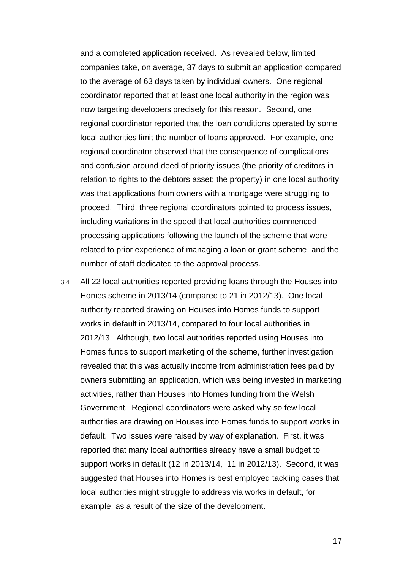and a completed application received. As revealed below, limited companies take, on average, 37 days to submit an application compared to the average of 63 days taken by individual owners. One regional coordinator reported that at least one local authority in the region was now targeting developers precisely for this reason. Second, one regional coordinator reported that the loan conditions operated by some local authorities limit the number of loans approved. For example, one regional coordinator observed that the consequence of complications and confusion around deed of priority issues (the priority of creditors in relation to rights to the debtors asset; the property) in one local authority was that applications from owners with a mortgage were struggling to proceed. Third, three regional coordinators pointed to process issues, including variations in the speed that local authorities commenced processing applications following the launch of the scheme that were related to prior experience of managing a loan or grant scheme, and the number of staff dedicated to the approval process.

3.4 All 22 local authorities reported providing loans through the Houses into Homes scheme in 2013/14 (compared to 21 in 2012/13). One local authority reported drawing on Houses into Homes funds to support works in default in 2013/14, compared to four local authorities in 2012/13. Although, two local authorities reported using Houses into Homes funds to support marketing of the scheme, further investigation revealed that this was actually income from administration fees paid by owners submitting an application, which was being invested in marketing activities, rather than Houses into Homes funding from the Welsh Government. Regional coordinators were asked why so few local authorities are drawing on Houses into Homes funds to support works in default. Two issues were raised by way of explanation. First, it was reported that many local authorities already have a small budget to support works in default (12 in 2013/14, 11 in 2012/13). Second, it was suggested that Houses into Homes is best employed tackling cases that local authorities might struggle to address via works in default, for example, as a result of the size of the development.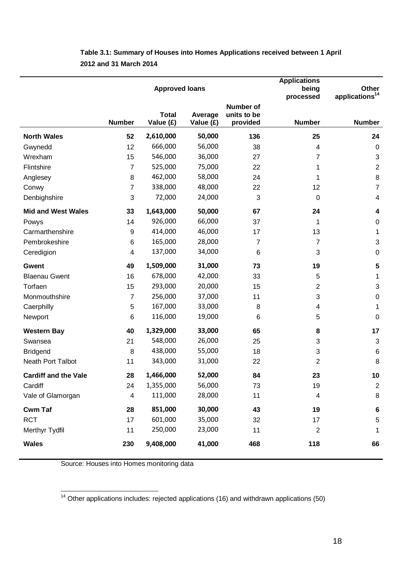|                             |                         | <b>Approved loans</b>     |                      | <b>Applications</b><br>being<br>processed   | Other<br>applications <sup>14</sup> |                         |
|-----------------------------|-------------------------|---------------------------|----------------------|---------------------------------------------|-------------------------------------|-------------------------|
|                             | <b>Number</b>           | <b>Total</b><br>Value (£) | Average<br>Value (£) | <b>Number of</b><br>units to be<br>provided | <b>Number</b>                       | <b>Number</b>           |
| <b>North Wales</b>          | 52                      | 2,610,000                 | 50,000               | 136                                         | 25                                  | 24                      |
| Gwynedd                     | 12                      | 666,000                   | 56,000               | 38                                          | 4                                   | $\mathbf 0$             |
| Wrexham                     | 15                      | 546,000                   | 36,000               | 27                                          | 7                                   | $\sqrt{3}$              |
| Flintshire                  | $\overline{7}$          | 525,000                   | 75,000               | 22                                          | 1                                   | $\overline{2}$          |
| Anglesey                    | 8                       | 462,000                   | 58,000               | 24                                          | 1                                   | $\, 8$                  |
| Conwy                       | 7                       | 338,000                   | 48,000               | 22                                          | 12                                  | $\overline{7}$          |
| Denbighshire                | 3                       | 72,000                    | 24,000               | 3                                           | $\mathbf 0$                         | $\overline{4}$          |
| <b>Mid and West Wales</b>   | 33                      | 1,643,000                 | 50,000               | 67                                          | 24                                  | $\overline{\mathbf{4}}$ |
| Powys                       | 14                      | 926,000                   | 66,000               | 37                                          | 1                                   | $\mathbf 0$             |
| Carmarthenshire             | 9                       | 414,000                   | 46,000               | 17                                          | 13                                  | 1                       |
| Pembrokeshire               | 6                       | 165,000                   | 28,000               | 7                                           | 7                                   | 3                       |
| Ceredigion                  | 4                       | 137,000                   | 34,000               | 6                                           | 3                                   | $\boldsymbol{0}$        |
| Gwent                       | 49                      | 1,509,000                 | 31,000               | 73                                          | 19                                  | $5\phantom{.0}$         |
| <b>Blaenau Gwent</b>        | 16                      | 678,000                   | 42,000               | 33                                          | 5                                   | 1                       |
| Torfaen                     | 15                      | 293,000                   | 20,000               | 15                                          | $\boldsymbol{2}$                    | 3                       |
| Monmouthshire               | $\overline{7}$          | 256,000                   | 37,000               | 11                                          | 3                                   | 0                       |
| Caerphilly                  | 5                       | 167,000                   | 33,000               | 8                                           | 4                                   | 1                       |
| Newport                     | 6                       | 116,000                   | 19,000               | 6                                           | 5                                   | 0                       |
| <b>Western Bay</b>          | 40                      | 1,329,000                 | 33,000               | 65                                          | 8                                   | 17                      |
| Swansea                     | 21                      | 548,000                   | 26,000               | 25                                          | 3                                   | 3                       |
| <b>Bridgend</b>             | 8                       | 438,000                   | 55,000               | 18                                          | $\ensuremath{\mathsf{3}}$           | $\,6$                   |
| Neath Port Talbot           | 11                      | 343,000                   | 31,000               | 22                                          | 2                                   | 8                       |
| <b>Cardiff and the Vale</b> | 28                      | 1,466,000                 | 52,000               | 84                                          | 23                                  | 10                      |
| Cardiff                     | 24                      | 1,355,000                 | 56,000               | 73                                          | 19                                  | $\overline{c}$          |
| Vale of Glamorgan           | $\overline{\mathbf{4}}$ | 111,000                   | 28,000               | 11                                          | 4                                   | 8                       |
| <b>Cwm Taf</b>              | 28                      | 851,000                   | 30,000               | 43                                          | 19                                  | $\bf 6$                 |
| <b>RCT</b>                  | 17                      | 601,000                   | 35,000               | 32                                          | 17                                  | $\sqrt{5}$              |
| Merthyr Tydfil              | 11                      | 250,000                   | 23,000               | 11                                          | $\boldsymbol{2}$                    | 1                       |
| <b>Wales</b>                | 230                     | 9,408,000                 | 41,000               | 468                                         | 118                                 | 66                      |

# **Table 3.1: Summary of Houses into Homes Applications received between 1 April 2012 and 31 March 2014**

Source: Houses into Homes monitoring data

 $\overline{a}$  $14$  Other applications includes: rejected applications (16) and withdrawn applications (50)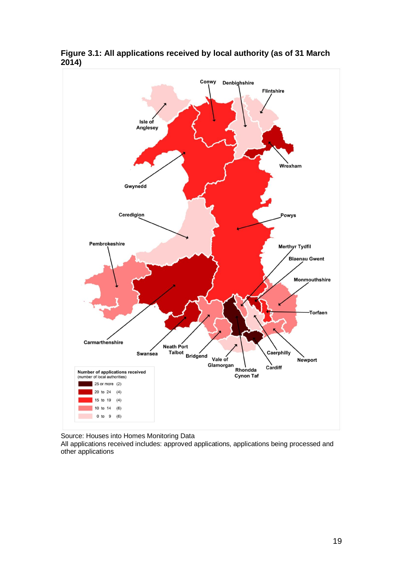

**Figure 3.1: All applications received by local authority (as of 31 March 2014)**

Source: Houses into Homes Monitoring Data

All applications received includes: approved applications, applications being processed and other applications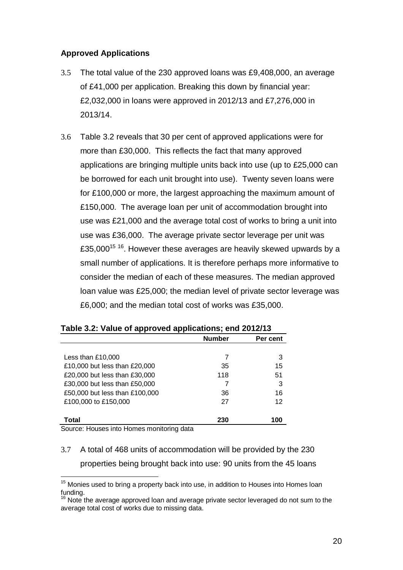# **Approved Applications**

- 3.5 The total value of the 230 approved loans was £9,408,000, an average of £41,000 per application. Breaking this down by financial year: £2,032,000 in loans were approved in 2012/13 and £7,276,000 in 2013/14.
- 3.6 Table 3.2 reveals that 30 per cent of approved applications were for more than £30,000. This reflects the fact that many approved applications are bringing multiple units back into use (up to £25,000 can be borrowed for each unit brought into use). Twenty seven loans were for £100,000 or more, the largest approaching the maximum amount of £150,000. The average loan per unit of accommodation brought into use was £21,000 and the average total cost of works to bring a unit into use was £36,000. The average private sector leverage per unit was £35,000<sup>15 16</sup>. However these averages are heavily skewed upwards by a small number of applications. It is therefore perhaps more informative to consider the median of each of these measures. The median approved loan value was £25,000; the median level of private sector leverage was £6,000; and the median total cost of works was £35,000.

|                                | <b>Number</b> | Per cent |
|--------------------------------|---------------|----------|
| Less than $£10,000$            | 7             | 3        |
| £10,000 but less than £20,000  | 35            | 15       |
| £20,000 but less than £30,000  | 118           | 51       |
| £30,000 but less than £50,000  | 7             | 3        |
| £50,000 but less than £100,000 | 36            | 16       |
| £100,000 to £150,000           | 27            | 12       |
| Total                          | 230           | 100      |

## **Table 3.2: Value of approved applications; end 2012/13**

Source: Houses into Homes monitoring data

 $\overline{a}$ 

3.7 A total of 468 units of accommodation will be provided by the 230 properties being brought back into use: 90 units from the 45 loans

 $15$  Monies used to bring a property back into use, in addition to Houses into Homes loan funding.

 $16$  Note the average approved loan and average private sector leveraged do not sum to the average total cost of works due to missing data.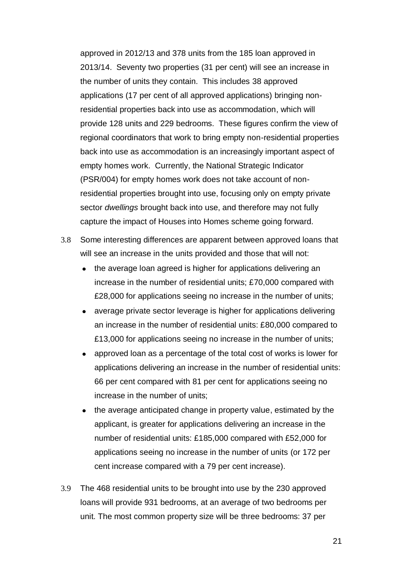approved in 2012/13 and 378 units from the 185 loan approved in 2013/14. Seventy two properties (31 per cent) will see an increase in the number of units they contain. This includes 38 approved applications (17 per cent of all approved applications) bringing nonresidential properties back into use as accommodation, which will provide 128 units and 229 bedrooms. These figures confirm the view of regional coordinators that work to bring empty non-residential properties back into use as accommodation is an increasingly important aspect of empty homes work. Currently, the National Strategic Indicator (PSR/004) for empty homes work does not take account of nonresidential properties brought into use, focusing only on empty private sector *dwellings* brought back into use, and therefore may not fully capture the impact of Houses into Homes scheme going forward.

- 3.8 Some interesting differences are apparent between approved loans that will see an increase in the units provided and those that will not:
	- the average loan agreed is higher for applications delivering an increase in the number of residential units; £70,000 compared with £28,000 for applications seeing no increase in the number of units;
	- average private sector leverage is higher for applications delivering an increase in the number of residential units: £80,000 compared to £13,000 for applications seeing no increase in the number of units;
	- approved loan as a percentage of the total cost of works is lower for applications delivering an increase in the number of residential units: 66 per cent compared with 81 per cent for applications seeing no increase in the number of units;
	- the average anticipated change in property value, estimated by the applicant, is greater for applications delivering an increase in the number of residential units: £185,000 compared with £52,000 for applications seeing no increase in the number of units (or 172 per cent increase compared with a 79 per cent increase).
- 3.9 The 468 residential units to be brought into use by the 230 approved loans will provide 931 bedrooms, at an average of two bedrooms per unit. The most common property size will be three bedrooms: 37 per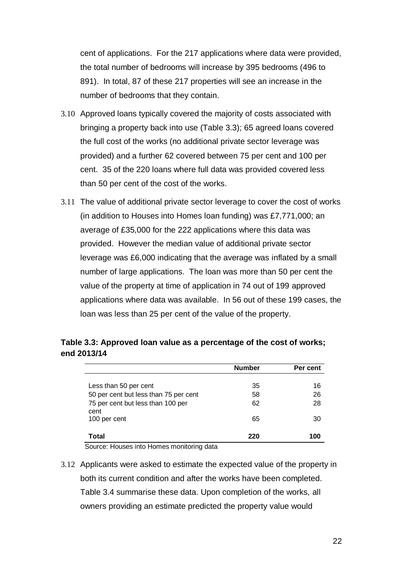cent of applications. For the 217 applications where data were provided, the total number of bedrooms will increase by 395 bedrooms (496 to 891). In total, 87 of these 217 properties will see an increase in the number of bedrooms that they contain.

- 3.10 Approved loans typically covered the majority of costs associated with bringing a property back into use (Table 3.3); 65 agreed loans covered the full cost of the works (no additional private sector leverage was provided) and a further 62 covered between 75 per cent and 100 per cent. 35 of the 220 loans where full data was provided covered less than 50 per cent of the cost of the works.
- 3.11 The value of additional private sector leverage to cover the cost of works (in addition to Houses into Homes loan funding) was £7,771,000; an average of £35,000 for the 222 applications where this data was provided. However the median value of additional private sector leverage was £6,000 indicating that the average was inflated by a small number of large applications. The loan was more than 50 per cent the value of the property at time of application in 74 out of 199 approved applications where data was available. In 56 out of these 199 cases, the loan was less than 25 per cent of the value of the property.

# **Table 3.3: Approved loan value as a percentage of the cost of works; end 2013/14**

|                                                                                                                             | <b>Number</b>        | Per cent             |
|-----------------------------------------------------------------------------------------------------------------------------|----------------------|----------------------|
| Less than 50 per cent<br>50 per cent but less than 75 per cent<br>75 per cent but less than 100 per<br>cent<br>100 per cent | 35<br>58<br>62<br>65 | 16<br>26<br>28<br>30 |
| Total                                                                                                                       | 220                  | 100                  |

Source: Houses into Homes monitoring data

3.12 Applicants were asked to estimate the expected value of the property in both its current condition and after the works have been completed. Table 3.4 summarise these data. Upon completion of the works, all owners providing an estimate predicted the property value would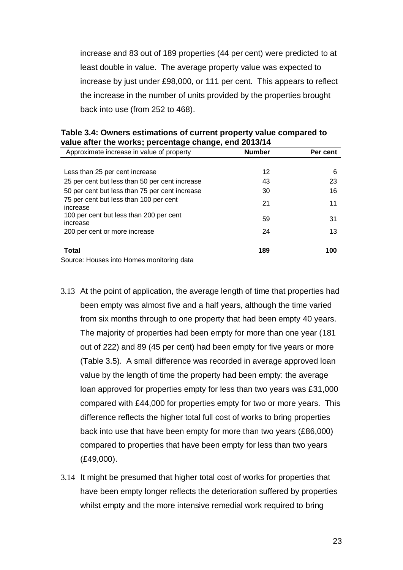increase and 83 out of 189 properties (44 per cent) were predicted to at least double in value. The average property value was expected to increase by just under £98,000, or 111 per cent. This appears to reflect the increase in the number of units provided by the properties brought back into use (from 252 to 468).

| Approximate increase in value of property                                                                                          | <b>Number</b>  | Per cent      |
|------------------------------------------------------------------------------------------------------------------------------------|----------------|---------------|
| Less than 25 per cent increase<br>25 per cent but less than 50 per cent increase<br>50 per cent but less than 75 per cent increase | 12<br>43<br>30 | 6<br>23<br>16 |
| 75 per cent but less than 100 per cent<br>increase                                                                                 | 21             | 11            |
| 100 per cent but less than 200 per cent<br>increase                                                                                | 59             | 31            |
| 200 per cent or more increase                                                                                                      | 24             | 13            |
| <b>Total</b>                                                                                                                       | 189            | 100           |

| Table 3.4: Owners estimations of current property value compared to |
|---------------------------------------------------------------------|
| value after the works; percentage change, end 2013/14               |

Source: Houses into Homes monitoring data

- 3.13 At the point of application, the average length of time that properties had been empty was almost five and a half years, although the time varied from six months through to one property that had been empty 40 years. The majority of properties had been empty for more than one year (181 out of 222) and 89 (45 per cent) had been empty for five years or more (Table 3.5). A small difference was recorded in average approved loan value by the length of time the property had been empty: the average loan approved for properties empty for less than two years was £31,000 compared with £44,000 for properties empty for two or more years. This difference reflects the higher total full cost of works to bring properties back into use that have been empty for more than two years (£86,000) compared to properties that have been empty for less than two years (£49,000).
- 3.14 It might be presumed that higher total cost of works for properties that have been empty longer reflects the deterioration suffered by properties whilst empty and the more intensive remedial work required to bring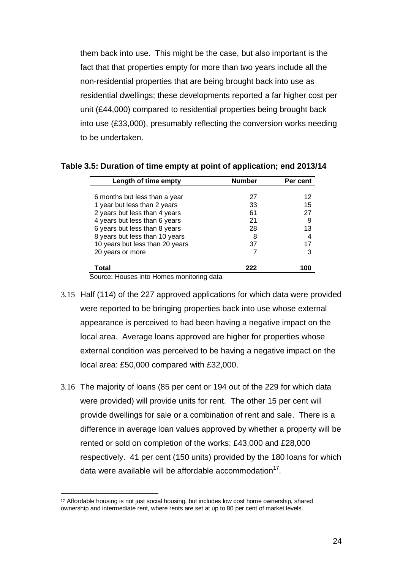them back into use. This might be the case, but also important is the fact that that properties empty for more than two years include all the non-residential properties that are being brought back into use as residential dwellings; these developments reported a far higher cost per unit (£44,000) compared to residential properties being brought back into use (£33,000), presumably reflecting the conversion works needing to be undertaken.

| Length of time empty                                                                           | <b>Number</b>  | Per cent       |
|------------------------------------------------------------------------------------------------|----------------|----------------|
| 6 months but less than a year<br>1 year but less than 2 years<br>2 years but less than 4 years | 27<br>33<br>61 | 12<br>15<br>27 |
| 4 years but less than 6 years<br>6 years but less than 8 years                                 | 21<br>28       | 9<br>13        |
| 8 years but less than 10 years<br>10 years but less than 20 years<br>20 years or more          | 8<br>37        | 4<br>3         |
| Total                                                                                          |                | 100            |

#### **Table 3.5: Duration of time empty at point of application; end 2013/14**

Source: Houses into Homes monitoring data

- 3.15 Half (114) of the 227 approved applications for which data were provided were reported to be bringing properties back into use whose external appearance is perceived to had been having a negative impact on the local area. Average loans approved are higher for properties whose external condition was perceived to be having a negative impact on the local area: £50,000 compared with £32,000.
- 3.16 The majority of loans (85 per cent or 194 out of the 229 for which data were provided) will provide units for rent. The other 15 per cent will provide dwellings for sale or a combination of rent and sale. There is a difference in average loan values approved by whether a property will be rented or sold on completion of the works: £43,000 and £28,000 respectively. 41 per cent (150 units) provided by the 180 loans for which data were available will be affordable accommodation $^{17}$ .

 $\overline{a}$ 

<sup>&</sup>lt;sup>17</sup> Affordable housing is not just social housing, but includes low cost home ownership, shared ownership and intermediate rent, where rents are set at up to 80 per cent of market levels.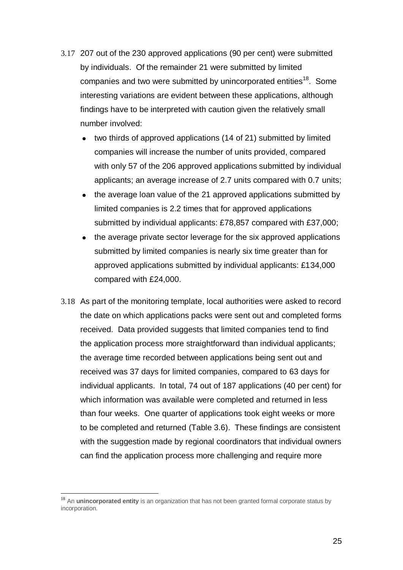- 3.17 207 out of the 230 approved applications (90 per cent) were submitted by individuals. Of the remainder 21 were submitted by limited companies and two were submitted by unincorporated entities<sup>18</sup>. Some interesting variations are evident between these applications, although findings have to be interpreted with caution given the relatively small number involved:
	- two thirds of approved applications (14 of 21) submitted by limited companies will increase the number of units provided, compared with only 57 of the 206 approved applications submitted by individual applicants; an average increase of 2.7 units compared with 0.7 units;
	- the average loan value of the 21 approved applications submitted by limited companies is 2.2 times that for approved applications submitted by individual applicants: £78,857 compared with £37,000;
	- the average private sector leverage for the six approved applications submitted by limited companies is nearly six time greater than for approved applications submitted by individual applicants: £134,000 compared with £24,000.
- 3.18 As part of the monitoring template, local authorities were asked to record the date on which applications packs were sent out and completed forms received. Data provided suggests that limited companies tend to find the application process more straightforward than individual applicants; the average time recorded between applications being sent out and received was 37 days for limited companies, compared to 63 days for individual applicants. In total, 74 out of 187 applications (40 per cent) for which information was available were completed and returned in less than four weeks. One quarter of applications took eight weeks or more to be completed and returned (Table 3.6). These findings are consistent with the suggestion made by regional coordinators that individual owners can find the application process more challenging and require more

 $\overline{a}$ <sup>18</sup> An **unincorporated entity** is an organization that has not been granted formal corporate status by incorporation.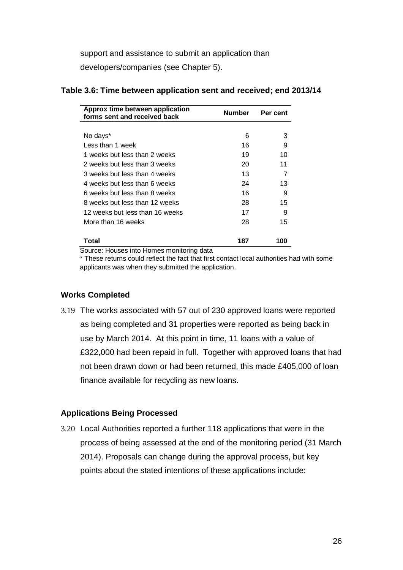support and assistance to submit an application than developers/companies (see Chapter 5).

| Table 3.6: Time between application sent and received; end 2013/14 |  |  |
|--------------------------------------------------------------------|--|--|
|--------------------------------------------------------------------|--|--|

| Approx time between application<br>forms sent and received back | <b>Number</b> | Per cent |
|-----------------------------------------------------------------|---------------|----------|
|                                                                 |               |          |
| No days*                                                        | 6             | 3        |
| Less than 1 week                                                | 16            | 9        |
| 1 weeks but less than 2 weeks                                   | 19            | 10       |
| 2 weeks but less than 3 weeks                                   | 20            | 11       |
| 3 weeks but less than 4 weeks                                   | 13            | 7        |
| 4 weeks but less than 6 weeks                                   | 24            | 13       |
| 6 weeks but less than 8 weeks                                   | 16            | 9        |
| 8 weeks but less than 12 weeks                                  | 28            | 15       |
| 12 weeks but less than 16 weeks                                 | 17            | 9        |
| More than 16 weeks                                              | 28            | 15       |
|                                                                 |               |          |
| Total                                                           | 187           | 100      |

Source: Houses into Homes monitoring data

\* These returns could reflect the fact that first contact local authorities had with some applicants was when they submitted the application.

# **Works Completed**

3.19 The works associated with 57 out of 230 approved loans were reported as being completed and 31 properties were reported as being back in use by March 2014. At this point in time, 11 loans with a value of £322,000 had been repaid in full. Together with approved loans that had not been drawn down or had been returned, this made £405,000 of loan finance available for recycling as new loans.

# **Applications Being Processed**

3.20 Local Authorities reported a further 118 applications that were in the process of being assessed at the end of the monitoring period (31 March 2014). Proposals can change during the approval process, but key points about the stated intentions of these applications include: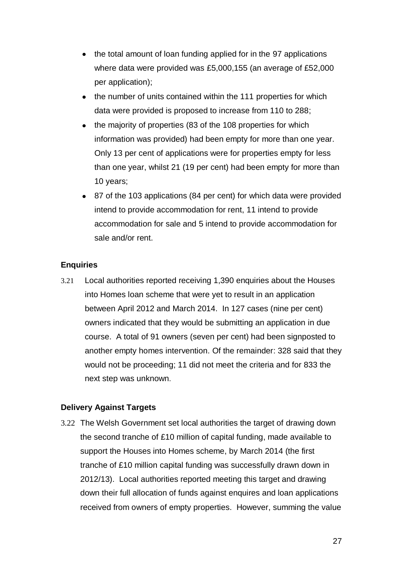- the total amount of loan funding applied for in the 97 applications where data were provided was £5,000,155 (an average of £52,000 per application);
- the number of units contained within the 111 properties for which data were provided is proposed to increase from 110 to 288;
- the majority of properties (83 of the 108 properties for which information was provided) had been empty for more than one year. Only 13 per cent of applications were for properties empty for less than one year, whilst 21 (19 per cent) had been empty for more than 10 years;
- 87 of the 103 applications (84 per cent) for which data were provided intend to provide accommodation for rent, 11 intend to provide accommodation for sale and 5 intend to provide accommodation for sale and/or rent.

# **Enquiries**

3.21 Local authorities reported receiving 1,390 enquiries about the Houses into Homes loan scheme that were yet to result in an application between April 2012 and March 2014. In 127 cases (nine per cent) owners indicated that they would be submitting an application in due course. A total of 91 owners (seven per cent) had been signposted to another empty homes intervention. Of the remainder: 328 said that they would not be proceeding; 11 did not meet the criteria and for 833 the next step was unknown.

## **Delivery Against Targets**

3.22 The Welsh Government set local authorities the target of drawing down the second tranche of £10 million of capital funding, made available to support the Houses into Homes scheme, by March 2014 (the first tranche of £10 million capital funding was successfully drawn down in 2012/13). Local authorities reported meeting this target and drawing down their full allocation of funds against enquires and loan applications received from owners of empty properties. However, summing the value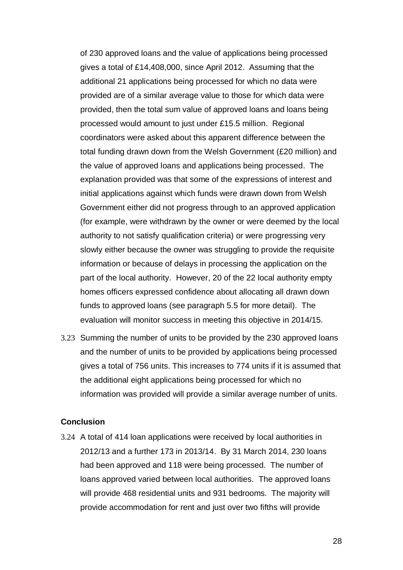of 230 approved loans and the value of applications being processed gives a total of £14,408,000, since April 2012. Assuming that the additional 21 applications being processed for which no data were provided are of a similar average value to those for which data were provided, then the total sum value of approved loans and loans being processed would amount to just under £15.5 million. Regional coordinators were asked about this apparent difference between the total funding drawn down from the Welsh Government (£20 million) and the value of approved loans and applications being processed. The explanation provided was that some of the expressions of interest and initial applications against which funds were drawn down from Welsh Government either did not progress through to an approved application (for example, were withdrawn by the owner or were deemed by the local authority to not satisfy qualification criteria) or were progressing very slowly either because the owner was struggling to provide the requisite information or because of delays in processing the application on the part of the local authority. However, 20 of the 22 local authority empty homes officers expressed confidence about allocating all drawn down funds to approved loans (see paragraph 5.5 for more detail). The evaluation will monitor success in meeting this objective in 2014/15.

3.23 Summing the number of units to be provided by the 230 approved loans and the number of units to be provided by applications being processed gives a total of 756 units. This increases to 774 units if it is assumed that the additional eight applications being processed for which no information was provided will provide a similar average number of units.

#### **Conclusion**

3.24 A total of 414 loan applications were received by local authorities in 2012/13 and a further 173 in 2013/14. By 31 March 2014, 230 loans had been approved and 118 were being processed. The number of loans approved varied between local authorities. The approved loans will provide 468 residential units and 931 bedrooms. The majority will provide accommodation for rent and just over two fifths will provide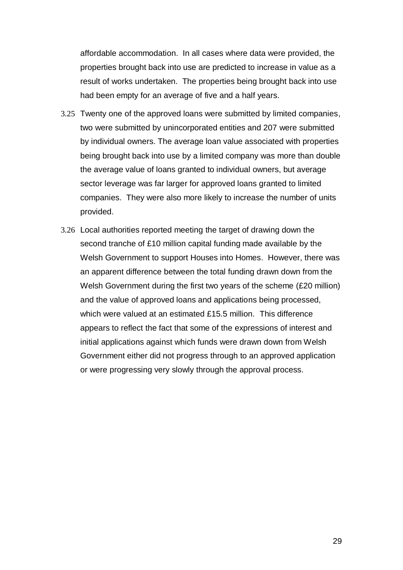affordable accommodation. In all cases where data were provided, the properties brought back into use are predicted to increase in value as a result of works undertaken. The properties being brought back into use had been empty for an average of five and a half years.

- 3.25 Twenty one of the approved loans were submitted by limited companies, two were submitted by unincorporated entities and 207 were submitted by individual owners. The average loan value associated with properties being brought back into use by a limited company was more than double the average value of loans granted to individual owners, but average sector leverage was far larger for approved loans granted to limited companies. They were also more likely to increase the number of units provided.
- 3.26 Local authorities reported meeting the target of drawing down the second tranche of £10 million capital funding made available by the Welsh Government to support Houses into Homes. However, there was an apparent difference between the total funding drawn down from the Welsh Government during the first two years of the scheme (£20 million) and the value of approved loans and applications being processed, which were valued at an estimated £15.5 million. This difference appears to reflect the fact that some of the expressions of interest and initial applications against which funds were drawn down from Welsh Government either did not progress through to an approved application or were progressing very slowly through the approval process.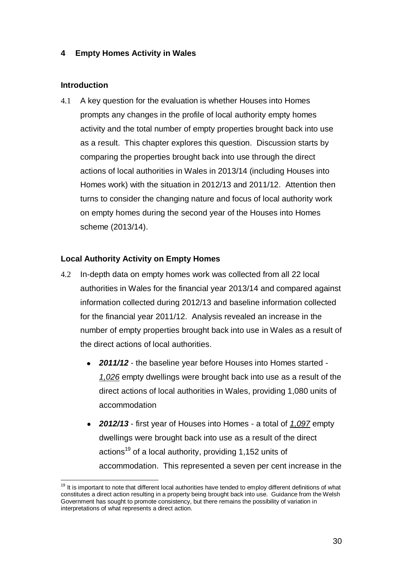# <span id="page-31-0"></span>**4 Empty Homes Activity in Wales**

# **Introduction**

 $\overline{a}$ 

4.1 A key question for the evaluation is whether Houses into Homes prompts any changes in the profile of local authority empty homes activity and the total number of empty properties brought back into use as a result. This chapter explores this question. Discussion starts by comparing the properties brought back into use through the direct actions of local authorities in Wales in 2013/14 (including Houses into Homes work) with the situation in 2012/13 and 2011/12. Attention then turns to consider the changing nature and focus of local authority work on empty homes during the second year of the Houses into Homes scheme (2013/14).

## **Local Authority Activity on Empty Homes**

- 4.2 In-depth data on empty homes work was collected from all 22 local authorities in Wales for the financial year 2013/14 and compared against information collected during 2012/13 and baseline information collected for the financial year 2011/12. Analysis revealed an increase in the number of empty properties brought back into use in Wales as a result of the direct actions of local authorities.
	- *2011/12* the baseline year before Houses into Homes started *1,026* empty dwellings were brought back into use as a result of the direct actions of local authorities in Wales, providing 1,080 units of accommodation
	- *2012/13* first year of Houses into Homes a total of *1,097* empty dwellings were brought back into use as a result of the direct actions<sup>19</sup> of a local authority, providing 1,152 units of accommodation. This represented a seven per cent increase in the

<sup>&</sup>lt;sup>19</sup> It is important to note that different local authorities have tended to employ different definitions of what constitutes a direct action resulting in a property being brought back into use. Guidance from the Welsh Government has sought to promote consistency, but there remains the possibility of variation in interpretations of what represents a direct action.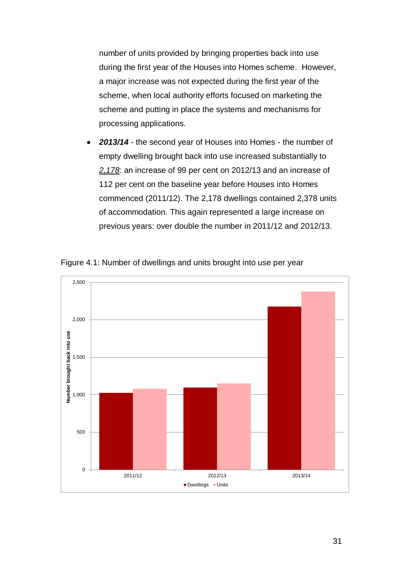number of units provided by bringing properties back into use during the first year of the Houses into Homes scheme. However, a major increase was not expected during the first year of the scheme, when local authority efforts focused on marketing the scheme and putting in place the systems and mechanisms for processing applications.

*2013/14* - the second year of Houses into Homes - the number of empty dwelling brought back into use increased substantially to *2,178*: an increase of 99 per cent on 2012/13 and an increase of 112 per cent on the baseline year before Houses into Homes commenced (2011/12). The 2,178 dwellings contained 2,378 units of accommodation. This again represented a large increase on previous years: over double the number in 2011/12 and 2012/13.



Figure 4.1: Number of dwellings and units brought into use per year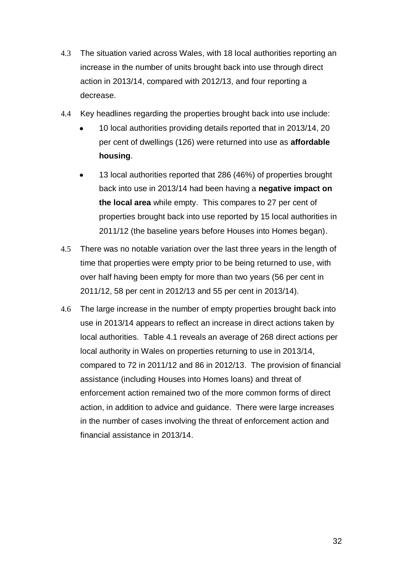- 4.3 The situation varied across Wales, with 18 local authorities reporting an increase in the number of units brought back into use through direct action in 2013/14, compared with 2012/13, and four reporting a decrease.
- 4.4 Key headlines regarding the properties brought back into use include:
	- 10 local authorities providing details reported that in 2013/14, 20 per cent of dwellings (126) were returned into use as **affordable housing**.
	- 13 local authorities reported that 286 (46%) of properties brought back into use in 2013/14 had been having a **negative impact on the local area** while empty. This compares to 27 per cent of properties brought back into use reported by 15 local authorities in 2011/12 (the baseline years before Houses into Homes began).
- 4.5 There was no notable variation over the last three years in the length of time that properties were empty prior to be being returned to use, with over half having been empty for more than two years (56 per cent in 2011/12, 58 per cent in 2012/13 and 55 per cent in 2013/14).
- 4.6 The large increase in the number of empty properties brought back into use in 2013/14 appears to reflect an increase in direct actions taken by local authorities. Table 4.1 reveals an average of 268 direct actions per local authority in Wales on properties returning to use in 2013/14, compared to 72 in 2011/12 and 86 in 2012/13. The provision of financial assistance (including Houses into Homes loans) and threat of enforcement action remained two of the more common forms of direct action, in addition to advice and guidance. There were large increases in the number of cases involving the threat of enforcement action and financial assistance in 2013/14.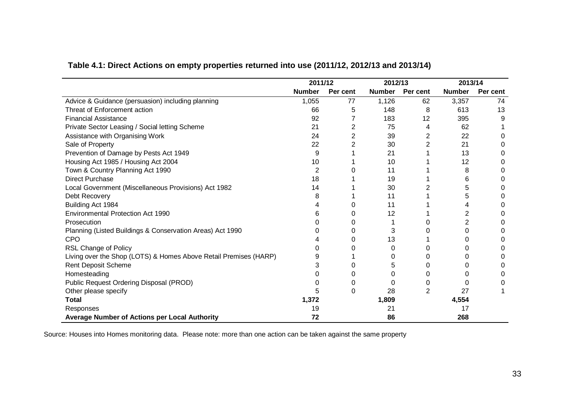|                                                                  |               | 2011/12  |               | 2012/13        |               | 2013/14  |
|------------------------------------------------------------------|---------------|----------|---------------|----------------|---------------|----------|
|                                                                  | <b>Number</b> | Per cent | <b>Number</b> | Per cent       | <b>Number</b> | Per cent |
| Advice & Guidance (persuasion) including planning                | 1,055         | 77       | 1,126         | 62             | 3,357         | 74       |
| Threat of Enforcement action                                     | 66            | 5        | 148           | 8              | 613           | 13       |
| <b>Financial Assistance</b>                                      | 92            |          | 183           | 12             | 395           | 9        |
| Private Sector Leasing / Social letting Scheme                   | 21            | 2        | 75            | 4              | 62            |          |
| Assistance with Organising Work                                  | 24            | 2        | 39            | 2              | 22            |          |
| Sale of Property                                                 | 22            | 2        | 30            | 2              | 21            |          |
| Prevention of Damage by Pests Act 1949                           | 9             |          | 21            |                | 13            | $\Omega$ |
| Housing Act 1985 / Housing Act 2004                              | 10            |          | 10            |                | 12            | 0        |
| Town & Country Planning Act 1990                                 | 2             |          | 11            |                | 8             |          |
| <b>Direct Purchase</b>                                           | 18            |          | 19            |                | 6             | 0        |
| Local Government (Miscellaneous Provisions) Act 1982             | 14            |          | 30            |                | 5             | O        |
| Debt Recovery                                                    | 8             |          | 11            |                | 5             |          |
| Building Act 1984                                                |               |          | 11            |                |               | 0        |
| <b>Environmental Protection Act 1990</b>                         | 6             | 0        | 12            |                | 2             | 0        |
| Prosecution                                                      |               |          |               | 0              | 2             | 0        |
| Planning (Listed Buildings & Conservation Areas) Act 1990        |               | 0        | 3             | 0              | 0             | 0        |
| <b>CPO</b>                                                       |               | 0        | 13            |                |               |          |
| <b>RSL Change of Policy</b>                                      |               |          | 0             | 0              | O             | $\cup$   |
| Living over the Shop (LOTS) & Homes Above Retail Premises (HARP) |               |          | 0             | 0              |               | 0        |
| <b>Rent Deposit Scheme</b>                                       | 3             |          | 5             | 0              |               |          |
| Homesteading                                                     |               |          | 0             | 0              |               |          |
| Public Request Ordering Disposal (PROD)                          |               | 0        | 0             | 0              |               | O        |
| Other please specify                                             | 5             | 0        | 28            | $\overline{2}$ | 27            |          |
| <b>Total</b>                                                     | 1,372         |          | 1,809         |                | 4,554         |          |
| Responses                                                        | 19            |          | 21            |                | 17            |          |
| <b>Average Number of Actions per Local Authority</b>             | 72            |          | 86            |                | 268           |          |

# **Table 4.1: Direct Actions on empty properties returned into use (2011/12, 2012/13 and 2013/14)**

Source: Houses into Homes monitoring data. Please note: more than one action can be taken against the same property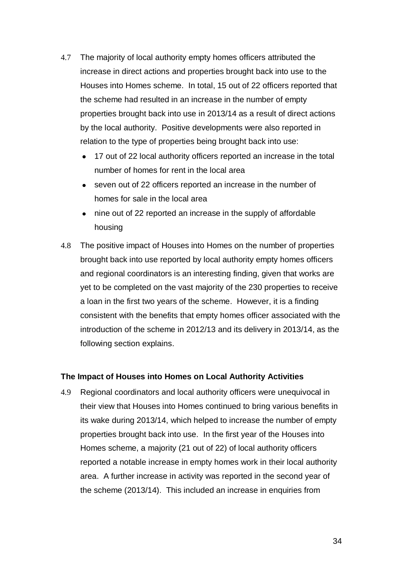- 4.7 The majority of local authority empty homes officers attributed the increase in direct actions and properties brought back into use to the Houses into Homes scheme. In total, 15 out of 22 officers reported that the scheme had resulted in an increase in the number of empty properties brought back into use in 2013/14 as a result of direct actions by the local authority. Positive developments were also reported in relation to the type of properties being brought back into use:
	- 17 out of 22 local authority officers reported an increase in the total number of homes for rent in the local area
	- seven out of 22 officers reported an increase in the number of homes for sale in the local area
	- nine out of 22 reported an increase in the supply of affordable housing
- 4.8 The positive impact of Houses into Homes on the number of properties brought back into use reported by local authority empty homes officers and regional coordinators is an interesting finding, given that works are yet to be completed on the vast majority of the 230 properties to receive a loan in the first two years of the scheme. However, it is a finding consistent with the benefits that empty homes officer associated with the introduction of the scheme in 2012/13 and its delivery in 2013/14, as the following section explains.

## **The Impact of Houses into Homes on Local Authority Activities**

4.9 Regional coordinators and local authority officers were unequivocal in their view that Houses into Homes continued to bring various benefits in its wake during 2013/14, which helped to increase the number of empty properties brought back into use. In the first year of the Houses into Homes scheme, a majority (21 out of 22) of local authority officers reported a notable increase in empty homes work in their local authority area. A further increase in activity was reported in the second year of the scheme (2013/14). This included an increase in enquiries from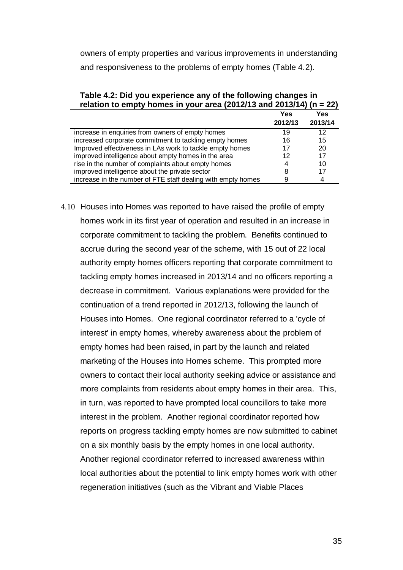owners of empty properties and various improvements in understanding and responsiveness to the problems of empty homes (Table 4.2).

| relation to empty nomes in your area (2012/13 and 2013/14) (n = 22) |         |         |  |  |
|---------------------------------------------------------------------|---------|---------|--|--|
|                                                                     | Yes     | Yes     |  |  |
|                                                                     | 2012/13 | 2013/14 |  |  |
| increase in enquiries from owners of empty homes                    | 19      | 12      |  |  |
| increased corporate commitment to tackling empty homes              | 16      | 15      |  |  |
| Improved effectiveness in LAs work to tackle empty homes            | 17      | 20      |  |  |
| improved intelligence about empty homes in the area                 | 12      | 17      |  |  |
| rise in the number of complaints about empty homes                  | 4       | 10      |  |  |
| improved intelligence about the private sector                      | 8       | 17      |  |  |
| increase in the number of FTE staff dealing with empty homes        | 9       |         |  |  |

**Table 4.2: Did you experience any of the following changes in relation to empty homes in your area (2012/13 and 2013/14) (n = 22)**

4.10 Houses into Homes was reported to have raised the profile of empty homes work in its first year of operation and resulted in an increase in corporate commitment to tackling the problem. Benefits continued to accrue during the second year of the scheme, with 15 out of 22 local authority empty homes officers reporting that corporate commitment to tackling empty homes increased in 2013/14 and no officers reporting a decrease in commitment. Various explanations were provided for the continuation of a trend reported in 2012/13, following the launch of Houses into Homes. One regional coordinator referred to a 'cycle of interest' in empty homes, whereby awareness about the problem of empty homes had been raised, in part by the launch and related marketing of the Houses into Homes scheme. This prompted more owners to contact their local authority seeking advice or assistance and more complaints from residents about empty homes in their area. This, in turn, was reported to have prompted local councillors to take more interest in the problem. Another regional coordinator reported how reports on progress tackling empty homes are now submitted to cabinet on a six monthly basis by the empty homes in one local authority. Another regional coordinator referred to increased awareness within local authorities about the potential to link empty homes work with other regeneration initiatives (such as the Vibrant and Viable Places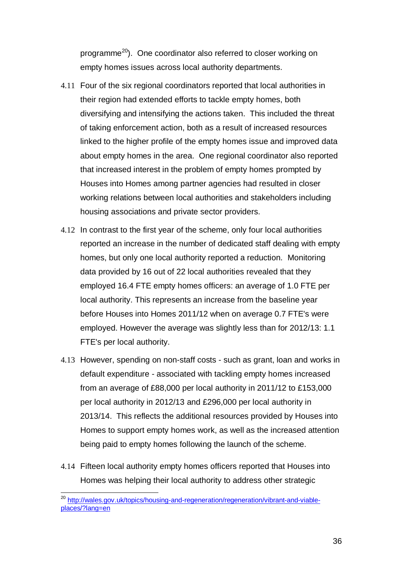programme<sup>20</sup>). One coordinator also referred to closer working on empty homes issues across local authority departments.

- 4.11 Four of the six regional coordinators reported that local authorities in their region had extended efforts to tackle empty homes, both diversifying and intensifying the actions taken. This included the threat of taking enforcement action, both as a result of increased resources linked to the higher profile of the empty homes issue and improved data about empty homes in the area. One regional coordinator also reported that increased interest in the problem of empty homes prompted by Houses into Homes among partner agencies had resulted in closer working relations between local authorities and stakeholders including housing associations and private sector providers.
- 4.12 In contrast to the first year of the scheme, only four local authorities reported an increase in the number of dedicated staff dealing with empty homes, but only one local authority reported a reduction. Monitoring data provided by 16 out of 22 local authorities revealed that they employed 16.4 FTE empty homes officers: an average of 1.0 FTE per local authority. This represents an increase from the baseline year before Houses into Homes 2011/12 when on average 0.7 FTE's were employed. However the average was slightly less than for 2012/13: 1.1 FTE's per local authority.
- 4.13 However, spending on non-staff costs such as grant, loan and works in default expenditure - associated with tackling empty homes increased from an average of £88,000 per local authority in 2011/12 to £153,000 per local authority in 2012/13 and £296,000 per local authority in 2013/14. This reflects the additional resources provided by Houses into Homes to support empty homes work, as well as the increased attention being paid to empty homes following the launch of the scheme.
- 4.14 Fifteen local authority empty homes officers reported that Houses into Homes was helping their local authority to address other strategic

 $\overline{a}$ 

<sup>&</sup>lt;sup>20</sup> [http://wales.gov.uk/topics/housing-and-regeneration/regeneration/vibrant-and-viable](http://wales.gov.uk/topics/housing-and-regeneration/regeneration/vibrant-and-viable-places/?lang=en)[places/?lang=en](http://wales.gov.uk/topics/housing-and-regeneration/regeneration/vibrant-and-viable-places/?lang=en)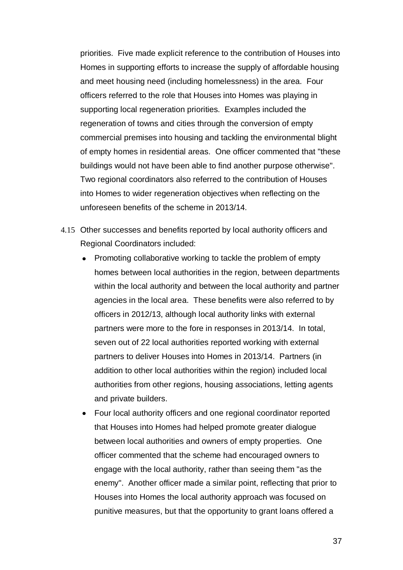priorities. Five made explicit reference to the contribution of Houses into Homes in supporting efforts to increase the supply of affordable housing and meet housing need (including homelessness) in the area. Four officers referred to the role that Houses into Homes was playing in supporting local regeneration priorities. Examples included the regeneration of towns and cities through the conversion of empty commercial premises into housing and tackling the environmental blight of empty homes in residential areas. One officer commented that "these buildings would not have been able to find another purpose otherwise". Two regional coordinators also referred to the contribution of Houses into Homes to wider regeneration objectives when reflecting on the unforeseen benefits of the scheme in 2013/14.

- 4.15 Other successes and benefits reported by local authority officers and Regional Coordinators included:
	- Promoting collaborative working to tackle the problem of empty homes between local authorities in the region, between departments within the local authority and between the local authority and partner agencies in the local area. These benefits were also referred to by officers in 2012/13, although local authority links with external partners were more to the fore in responses in 2013/14. In total, seven out of 22 local authorities reported working with external partners to deliver Houses into Homes in 2013/14. Partners (in addition to other local authorities within the region) included local authorities from other regions, housing associations, letting agents and private builders.
	- Four local authority officers and one regional coordinator reported that Houses into Homes had helped promote greater dialogue between local authorities and owners of empty properties. One officer commented that the scheme had encouraged owners to engage with the local authority, rather than seeing them "as the enemy". Another officer made a similar point, reflecting that prior to Houses into Homes the local authority approach was focused on punitive measures, but that the opportunity to grant loans offered a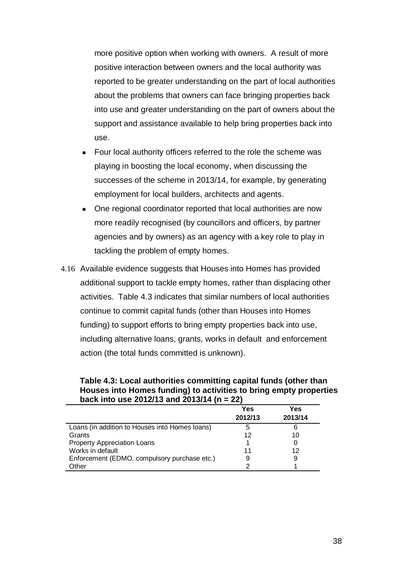more positive option when working with owners. A result of more positive interaction between owners and the local authority was reported to be greater understanding on the part of local authorities about the problems that owners can face bringing properties back into use and greater understanding on the part of owners about the support and assistance available to help bring properties back into use.

- Four local authority officers referred to the role the scheme was playing in boosting the local economy, when discussing the successes of the scheme in 2013/14, for example, by generating employment for local builders, architects and agents.
- One regional coordinator reported that local authorities are now more readily recognised (by councillors and officers, by partner agencies and by owners) as an agency with a key role to play in tackling the problem of empty homes.
- 4.16 Available evidence suggests that Houses into Homes has provided additional support to tackle empty homes, rather than displacing other activities. Table 4.3 indicates that similar numbers of local authorities continue to commit capital funds (other than Houses into Homes funding) to support efforts to bring empty properties back into use, including alternative loans, grants, works in default and enforcement action (the total funds committed is unknown).

**Table 4.3: Local authorities committing capital funds (other than Houses into Homes funding) to activities to bring empty properties back into use 2012/13 and 2013/14 (n = 22)**

|                                                | Yes     | Yes     |
|------------------------------------------------|---------|---------|
|                                                | 2012/13 | 2013/14 |
| Loans (in addition to Houses into Homes Ioans) | 5       | 6       |
| Grants                                         | 12      | 10      |
| <b>Property Appreciation Loans</b>             |         |         |
| Works in default                               | 11      | 12      |
| Enforcement (EDMO, compulsory purchase etc.)   | 9       | 9       |
| Other                                          |         |         |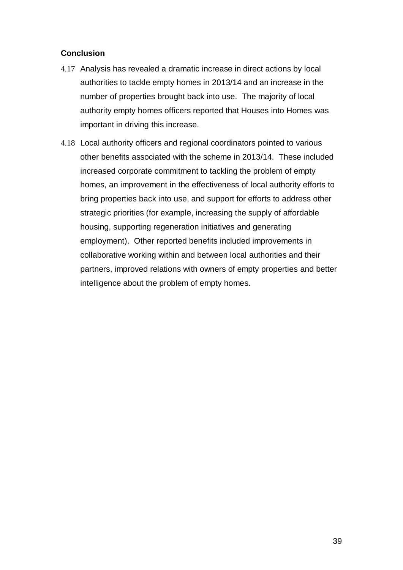# **Conclusion**

- 4.17 Analysis has revealed a dramatic increase in direct actions by local authorities to tackle empty homes in 2013/14 and an increase in the number of properties brought back into use. The majority of local authority empty homes officers reported that Houses into Homes was important in driving this increase.
- 4.18 Local authority officers and regional coordinators pointed to various other benefits associated with the scheme in 2013/14. These included increased corporate commitment to tackling the problem of empty homes, an improvement in the effectiveness of local authority efforts to bring properties back into use, and support for efforts to address other strategic priorities (for example, increasing the supply of affordable housing, supporting regeneration initiatives and generating employment). Other reported benefits included improvements in collaborative working within and between local authorities and their partners, improved relations with owners of empty properties and better intelligence about the problem of empty homes.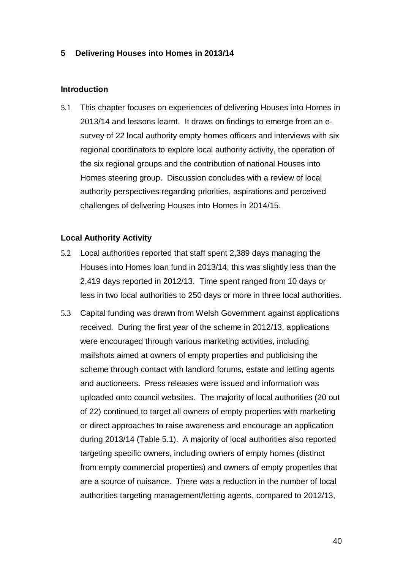## <span id="page-41-0"></span>**5 Delivering Houses into Homes in 2013/14**

## **Introduction**

5.1 This chapter focuses on experiences of delivering Houses into Homes in 2013/14 and lessons learnt. It draws on findings to emerge from an esurvey of 22 local authority empty homes officers and interviews with six regional coordinators to explore local authority activity, the operation of the six regional groups and the contribution of national Houses into Homes steering group. Discussion concludes with a review of local authority perspectives regarding priorities, aspirations and perceived challenges of delivering Houses into Homes in 2014/15.

## **Local Authority Activity**

- 5.2 Local authorities reported that staff spent 2,389 days managing the Houses into Homes loan fund in 2013/14; this was slightly less than the 2,419 days reported in 2012/13. Time spent ranged from 10 days or less in two local authorities to 250 days or more in three local authorities.
- 5.3 Capital funding was drawn from Welsh Government against applications received. During the first year of the scheme in 2012/13, applications were encouraged through various marketing activities, including mailshots aimed at owners of empty properties and publicising the scheme through contact with landlord forums, estate and letting agents and auctioneers. Press releases were issued and information was uploaded onto council websites. The majority of local authorities (20 out of 22) continued to target all owners of empty properties with marketing or direct approaches to raise awareness and encourage an application during 2013/14 (Table 5.1). A majority of local authorities also reported targeting specific owners, including owners of empty homes (distinct from empty commercial properties) and owners of empty properties that are a source of nuisance. There was a reduction in the number of local authorities targeting management/letting agents, compared to 2012/13,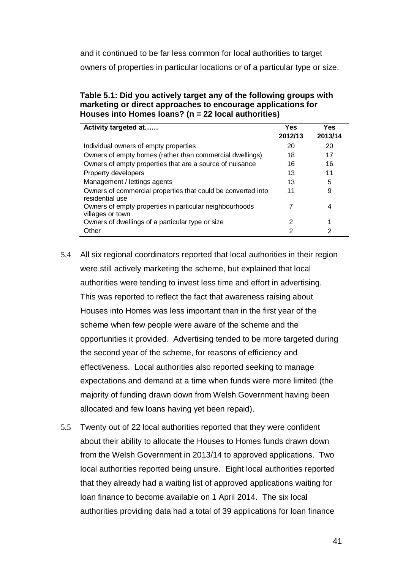and it continued to be far less common for local authorities to target owners of properties in particular locations or of a particular type or size.

## **Table 5.1: Did you actively target any of the following groups with marketing or direct approaches to encourage applications for Houses into Homes loans? (n = 22 local authorities)**

| Activity targeted at                                                            | Yes     | Yes     |
|---------------------------------------------------------------------------------|---------|---------|
|                                                                                 | 2012/13 | 2013/14 |
| Individual owners of empty properties                                           | 20      | 20      |
| Owners of empty homes (rather than commercial dwellings)                        | 18      | 17      |
| Owners of empty properties that are a source of nuisance                        | 16      | 16      |
| Property developers                                                             | 13      | 11      |
| Management / lettings agents                                                    | 13      | 5       |
| Owners of commercial properties that could be converted into<br>residential use | 11      | 9       |
| Owners of empty properties in particular neighbourhoods<br>villages or town     | 7       | 4       |
| Owners of dwellings of a particular type or size                                | 2       |         |
| Other                                                                           | 2       | 2       |

- 5.4 All six regional coordinators reported that local authorities in their region were still actively marketing the scheme, but explained that local authorities were tending to invest less time and effort in advertising. This was reported to reflect the fact that awareness raising about Houses into Homes was less important than in the first year of the scheme when few people were aware of the scheme and the opportunities it provided. Advertising tended to be more targeted during the second year of the scheme, for reasons of efficiency and effectiveness. Local authorities also reported seeking to manage expectations and demand at a time when funds were more limited (the majority of funding drawn down from Welsh Government having been allocated and few loans having yet been repaid).
- 5.5 Twenty out of 22 local authorities reported that they were confident about their ability to allocate the Houses to Homes funds drawn down from the Welsh Government in 2013/14 to approved applications. Two local authorities reported being unsure. Eight local authorities reported that they already had a waiting list of approved applications waiting for loan finance to become available on 1 April 2014. The six local authorities providing data had a total of 39 applications for loan finance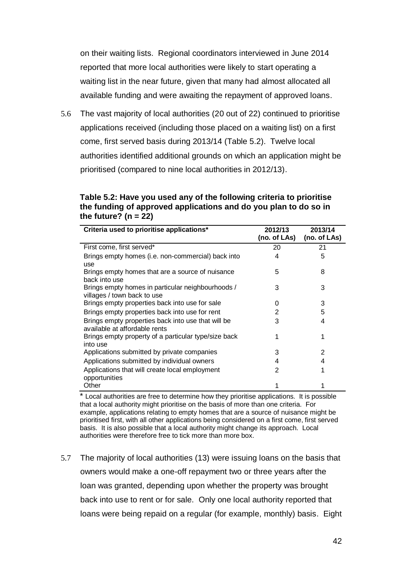on their waiting lists. Regional coordinators interviewed in June 2014 reported that more local authorities were likely to start operating a waiting list in the near future, given that many had almost allocated all available funding and were awaiting the repayment of approved loans.

5.6 The vast majority of local authorities (20 out of 22) continued to prioritise applications received (including those placed on a waiting list) on a first come, first served basis during 2013/14 (Table 5.2). Twelve local authorities identified additional grounds on which an application might be prioritised (compared to nine local authorities in 2012/13).

**Table 5.2: Have you used any of the following criteria to prioritise the funding of approved applications and do you plan to do so in the future? (n = 22)**

| Criteria used to prioritise applications*                                           | 2012/13<br>(no. of LAs) | 2013/14<br>(no. of LAs) |
|-------------------------------------------------------------------------------------|-------------------------|-------------------------|
| First come, first served*                                                           | 20                      | 21                      |
| Brings empty homes (i.e. non-commercial) back into<br>use                           | 4                       | 5                       |
| Brings empty homes that are a source of nuisance<br>back into use                   | 5                       | 8                       |
| Brings empty homes in particular neighbourhoods /<br>villages / town back to use    | 3                       | 3                       |
| Brings empty properties back into use for sale                                      | 0                       | 3                       |
| Brings empty properties back into use for rent                                      | 2                       | 5                       |
| Brings empty properties back into use that will be<br>available at affordable rents | 3                       | 4                       |
| Brings empty property of a particular type/size back<br>into use                    |                         | 1                       |
| Applications submitted by private companies                                         | 3                       | 2                       |
| Applications submitted by individual owners                                         | 4                       | 4                       |
| Applications that will create local employment<br>opportunities                     | 2                       | 1                       |
| Other                                                                               |                         |                         |

\* Local authorities are free to determine how they prioritise applications. It is possible that a local authority might prioritise on the basis of more than one criteria. For example, applications relating to empty homes that are a source of nuisance might be prioritised first, with all other applications being considered on a first come, first served basis. It is also possible that a local authority might change its approach. Local authorities were therefore free to tick more than more box.

5.7 The majority of local authorities (13) were issuing loans on the basis that owners would make a one-off repayment two or three years after the loan was granted, depending upon whether the property was brought back into use to rent or for sale. Only one local authority reported that loans were being repaid on a regular (for example, monthly) basis. Eight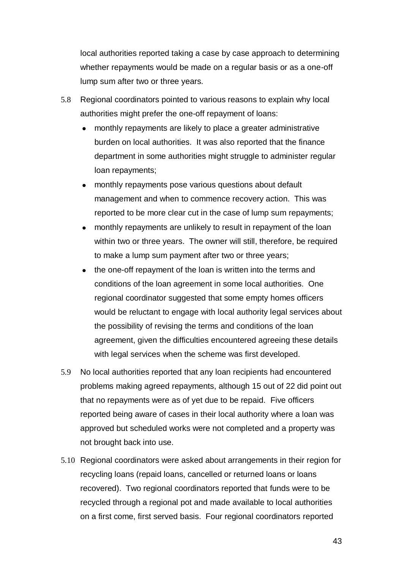local authorities reported taking a case by case approach to determining whether repayments would be made on a regular basis or as a one-off lump sum after two or three years.

- 5.8 Regional coordinators pointed to various reasons to explain why local authorities might prefer the one-off repayment of loans:
	- monthly repayments are likely to place a greater administrative burden on local authorities. It was also reported that the finance department in some authorities might struggle to administer regular loan repayments;
	- monthly repayments pose various questions about default management and when to commence recovery action. This was reported to be more clear cut in the case of lump sum repayments;
	- monthly repayments are unlikely to result in repayment of the loan within two or three years. The owner will still, therefore, be required to make a lump sum payment after two or three years;
	- the one-off repayment of the loan is written into the terms and conditions of the loan agreement in some local authorities. One regional coordinator suggested that some empty homes officers would be reluctant to engage with local authority legal services about the possibility of revising the terms and conditions of the loan agreement, given the difficulties encountered agreeing these details with legal services when the scheme was first developed.
- 5.9 No local authorities reported that any loan recipients had encountered problems making agreed repayments, although 15 out of 22 did point out that no repayments were as of yet due to be repaid. Five officers reported being aware of cases in their local authority where a loan was approved but scheduled works were not completed and a property was not brought back into use.
- 5.10 Regional coordinators were asked about arrangements in their region for recycling loans (repaid loans, cancelled or returned loans or loans recovered). Two regional coordinators reported that funds were to be recycled through a regional pot and made available to local authorities on a first come, first served basis. Four regional coordinators reported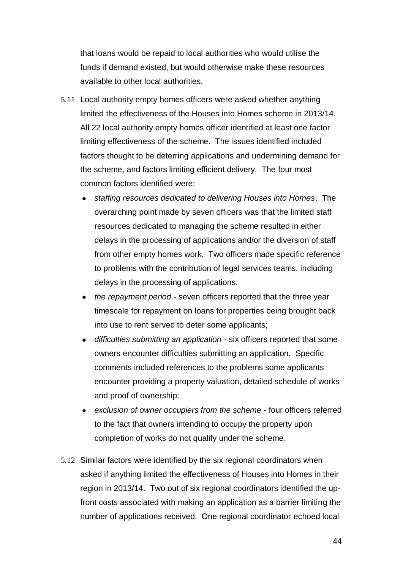that loans would be repaid to local authorities who would utilise the funds if demand existed, but would otherwise make these resources available to other local authorities.

- 5.11 Local authority empty homes officers were asked whether anything limited the effectiveness of the Houses into Homes scheme in 2013/14. All 22 local authority empty homes officer identified at least one factor limiting effectiveness of the scheme. The issues identified included factors thought to be deterring applications and undermining demand for the scheme, and factors limiting efficient delivery. The four most common factors identified were:
	- *staffing resources dedicated to delivering Houses into Homes*. The overarching point made by seven officers was that the limited staff resources dedicated to managing the scheme resulted in either delays in the processing of applications and/or the diversion of staff from other empty homes work. Two officers made specific reference to problems with the contribution of legal services teams, including delays in the processing of applications.
	- *the repayment period -* seven officers reported that the three year timescale for repayment on loans for properties being brought back into use to rent served to deter some applicants;
	- *difficulties submitting an application -* six officers reported that some owners encounter difficulties submitting an application. Specific comments included references to the problems some applicants encounter providing a property valuation, detailed schedule of works and proof of ownership;
	- *exclusion of owner occupiers from the scheme -* four officers referred to the fact that owners intending to occupy the property upon completion of works do not qualify under the scheme.
- 5.12 Similar factors were identified by the six regional coordinators when asked if anything limited the effectiveness of Houses into Homes in their region in 2013/14. Two out of six regional coordinators identified the upfront costs associated with making an application as a barrier limiting the number of applications received. One regional coordinator echoed local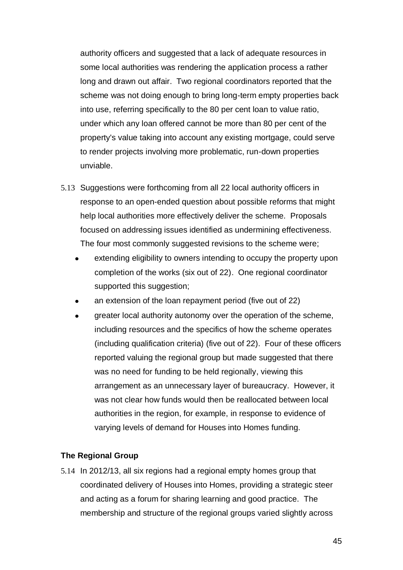authority officers and suggested that a lack of adequate resources in some local authorities was rendering the application process a rather long and drawn out affair. Two regional coordinators reported that the scheme was not doing enough to bring long-term empty properties back into use, referring specifically to the 80 per cent loan to value ratio, under which any loan offered cannot be more than 80 per cent of the property's value taking into account any existing mortgage, could serve to render projects involving more problematic, run-down properties unviable.

- 5.13 Suggestions were forthcoming from all 22 local authority officers in response to an open-ended question about possible reforms that might help local authorities more effectively deliver the scheme. Proposals focused on addressing issues identified as undermining effectiveness. The four most commonly suggested revisions to the scheme were;
	- extending eligibility to owners intending to occupy the property upon completion of the works (six out of 22). One regional coordinator supported this suggestion;
	- an extension of the loan repayment period (five out of 22)
	- greater local authority autonomy over the operation of the scheme, including resources and the specifics of how the scheme operates (including qualification criteria) (five out of 22). Four of these officers reported valuing the regional group but made suggested that there was no need for funding to be held regionally, viewing this arrangement as an unnecessary layer of bureaucracy. However, it was not clear how funds would then be reallocated between local authorities in the region, for example, in response to evidence of varying levels of demand for Houses into Homes funding.

#### **The Regional Group**

5.14 In 2012/13, all six regions had a regional empty homes group that coordinated delivery of Houses into Homes, providing a strategic steer and acting as a forum for sharing learning and good practice. The membership and structure of the regional groups varied slightly across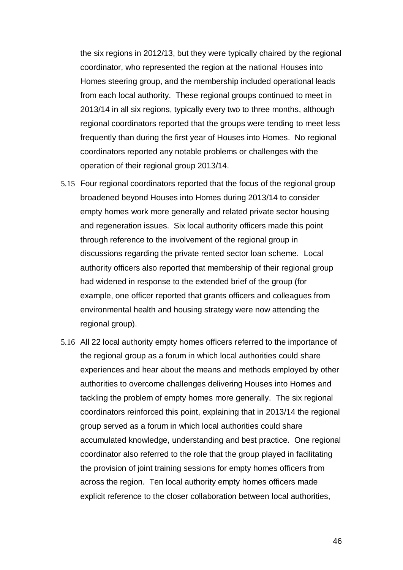the six regions in 2012/13, but they were typically chaired by the regional coordinator, who represented the region at the national Houses into Homes steering group, and the membership included operational leads from each local authority. These regional groups continued to meet in 2013/14 in all six regions, typically every two to three months, although regional coordinators reported that the groups were tending to meet less frequently than during the first year of Houses into Homes. No regional coordinators reported any notable problems or challenges with the operation of their regional group 2013/14.

- 5.15 Four regional coordinators reported that the focus of the regional group broadened beyond Houses into Homes during 2013/14 to consider empty homes work more generally and related private sector housing and regeneration issues. Six local authority officers made this point through reference to the involvement of the regional group in discussions regarding the private rented sector loan scheme. Local authority officers also reported that membership of their regional group had widened in response to the extended brief of the group (for example, one officer reported that grants officers and colleagues from environmental health and housing strategy were now attending the regional group).
- 5.16 All 22 local authority empty homes officers referred to the importance of the regional group as a forum in which local authorities could share experiences and hear about the means and methods employed by other authorities to overcome challenges delivering Houses into Homes and tackling the problem of empty homes more generally. The six regional coordinators reinforced this point, explaining that in 2013/14 the regional group served as a forum in which local authorities could share accumulated knowledge, understanding and best practice. One regional coordinator also referred to the role that the group played in facilitating the provision of joint training sessions for empty homes officers from across the region. Ten local authority empty homes officers made explicit reference to the closer collaboration between local authorities,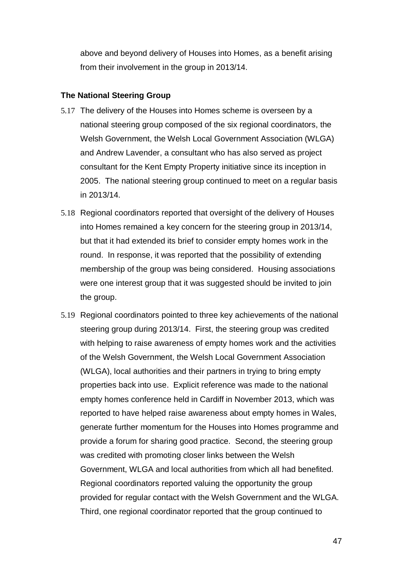above and beyond delivery of Houses into Homes, as a benefit arising from their involvement in the group in 2013/14.

## **The National Steering Group**

- 5.17 The delivery of the Houses into Homes scheme is overseen by a national steering group composed of the six regional coordinators, the Welsh Government, the Welsh Local Government Association (WLGA) and Andrew Lavender, a consultant who has also served as project consultant for the Kent Empty Property initiative since its inception in 2005. The national steering group continued to meet on a regular basis in 2013/14.
- 5.18 Regional coordinators reported that oversight of the delivery of Houses into Homes remained a key concern for the steering group in 2013/14, but that it had extended its brief to consider empty homes work in the round. In response, it was reported that the possibility of extending membership of the group was being considered. Housing associations were one interest group that it was suggested should be invited to join the group.
- 5.19 Regional coordinators pointed to three key achievements of the national steering group during 2013/14. First, the steering group was credited with helping to raise awareness of empty homes work and the activities of the Welsh Government, the Welsh Local Government Association (WLGA), local authorities and their partners in trying to bring empty properties back into use. Explicit reference was made to the national empty homes conference held in Cardiff in November 2013, which was reported to have helped raise awareness about empty homes in Wales, generate further momentum for the Houses into Homes programme and provide a forum for sharing good practice. Second, the steering group was credited with promoting closer links between the Welsh Government, WLGA and local authorities from which all had benefited. Regional coordinators reported valuing the opportunity the group provided for regular contact with the Welsh Government and the WLGA. Third, one regional coordinator reported that the group continued to

47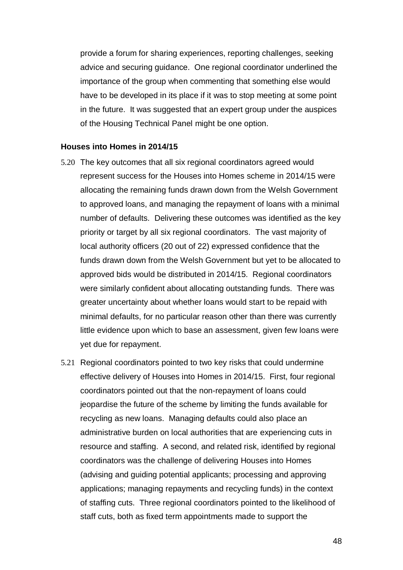provide a forum for sharing experiences, reporting challenges, seeking advice and securing guidance. One regional coordinator underlined the importance of the group when commenting that something else would have to be developed in its place if it was to stop meeting at some point in the future. It was suggested that an expert group under the auspices of the Housing Technical Panel might be one option.

#### **Houses into Homes in 2014/15**

- 5.20 The key outcomes that all six regional coordinators agreed would represent success for the Houses into Homes scheme in 2014/15 were allocating the remaining funds drawn down from the Welsh Government to approved loans, and managing the repayment of loans with a minimal number of defaults. Delivering these outcomes was identified as the key priority or target by all six regional coordinators. The vast majority of local authority officers (20 out of 22) expressed confidence that the funds drawn down from the Welsh Government but yet to be allocated to approved bids would be distributed in 2014/15. Regional coordinators were similarly confident about allocating outstanding funds. There was greater uncertainty about whether loans would start to be repaid with minimal defaults, for no particular reason other than there was currently little evidence upon which to base an assessment, given few loans were yet due for repayment.
- 5.21 Regional coordinators pointed to two key risks that could undermine effective delivery of Houses into Homes in 2014/15. First, four regional coordinators pointed out that the non-repayment of loans could jeopardise the future of the scheme by limiting the funds available for recycling as new loans. Managing defaults could also place an administrative burden on local authorities that are experiencing cuts in resource and staffing. A second, and related risk, identified by regional coordinators was the challenge of delivering Houses into Homes (advising and guiding potential applicants; processing and approving applications; managing repayments and recycling funds) in the context of staffing cuts. Three regional coordinators pointed to the likelihood of staff cuts, both as fixed term appointments made to support the

48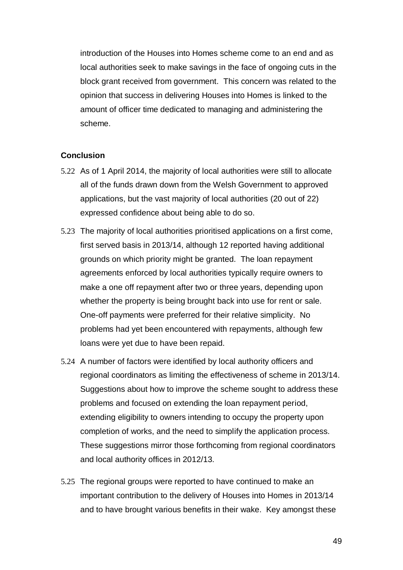introduction of the Houses into Homes scheme come to an end and as local authorities seek to make savings in the face of ongoing cuts in the block grant received from government. This concern was related to the opinion that success in delivering Houses into Homes is linked to the amount of officer time dedicated to managing and administering the scheme.

### **Conclusion**

- 5.22 As of 1 April 2014, the majority of local authorities were still to allocate all of the funds drawn down from the Welsh Government to approved applications, but the vast majority of local authorities (20 out of 22) expressed confidence about being able to do so.
- 5.23 The majority of local authorities prioritised applications on a first come, first served basis in 2013/14, although 12 reported having additional grounds on which priority might be granted. The loan repayment agreements enforced by local authorities typically require owners to make a one off repayment after two or three years, depending upon whether the property is being brought back into use for rent or sale. One-off payments were preferred for their relative simplicity. No problems had yet been encountered with repayments, although few loans were yet due to have been repaid.
- 5.24 A number of factors were identified by local authority officers and regional coordinators as limiting the effectiveness of scheme in 2013/14. Suggestions about how to improve the scheme sought to address these problems and focused on extending the loan repayment period, extending eligibility to owners intending to occupy the property upon completion of works, and the need to simplify the application process. These suggestions mirror those forthcoming from regional coordinators and local authority offices in 2012/13.
- 5.25 The regional groups were reported to have continued to make an important contribution to the delivery of Houses into Homes in 2013/14 and to have brought various benefits in their wake. Key amongst these